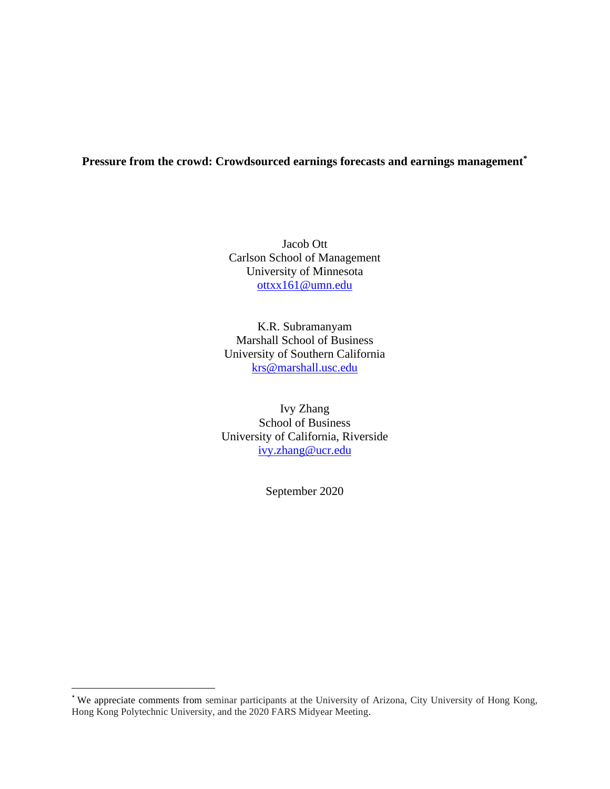# **Pressure from the crowd: Crowdsourced earnings forecasts and earnings management\***

Jacob Ott Carlson School of Management University of Minnesota [ottxx161@umn.edu](mailto:ottxx161@umn.edu)

K.R. Subramanyam Marshall School of Business University of Southern California [krs@marshall.usc.edu](mailto:krs@marshall.usc.edu)

Ivy Zhang School of Business University of California, Riverside [ivy.zhang@ucr.edu](mailto:ivy.zhang@ucr.edu)

September 2020

<sup>\*</sup> We appreciate comments from seminar participants at the University of Arizona, City University of Hong Kong, Hong Kong Polytechnic University, and the 2020 FARS Midyear Meeting.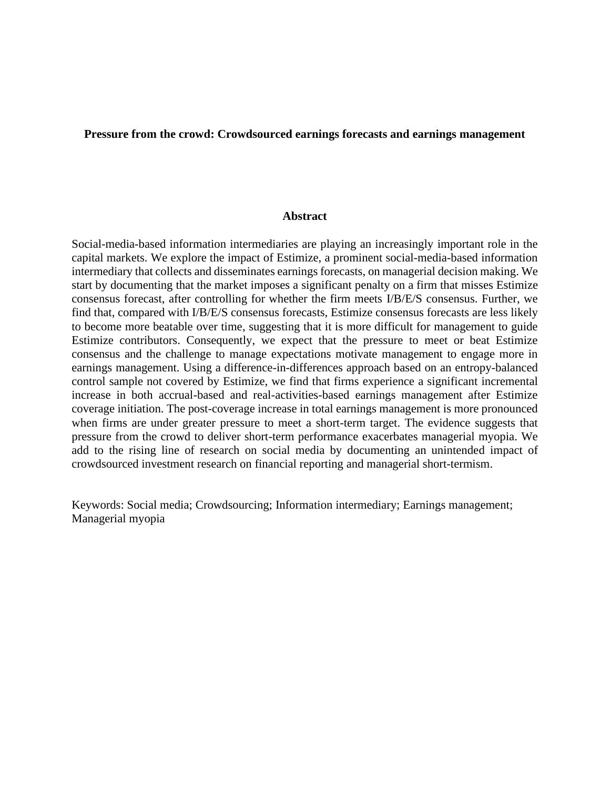# **Pressure from the crowd: Crowdsourced earnings forecasts and earnings management**

### **Abstract**

Social-media-based information intermediaries are playing an increasingly important role in the capital markets. We explore the impact of Estimize, a prominent social-media-based information intermediary that collects and disseminates earnings forecasts, on managerial decision making. We start by documenting that the market imposes a significant penalty on a firm that misses Estimize consensus forecast, after controlling for whether the firm meets I/B/E/S consensus. Further, we find that, compared with I/B/E/S consensus forecasts, Estimize consensus forecasts are less likely to become more beatable over time, suggesting that it is more difficult for management to guide Estimize contributors. Consequently, we expect that the pressure to meet or beat Estimize consensus and the challenge to manage expectations motivate management to engage more in earnings management. Using a difference-in-differences approach based on an entropy-balanced control sample not covered by Estimize, we find that firms experience a significant incremental increase in both accrual-based and real-activities-based earnings management after Estimize coverage initiation. The post-coverage increase in total earnings management is more pronounced when firms are under greater pressure to meet a short-term target. The evidence suggests that pressure from the crowd to deliver short-term performance exacerbates managerial myopia. We add to the rising line of research on social media by documenting an unintended impact of crowdsourced investment research on financial reporting and managerial short-termism.

Keywords: Social media; Crowdsourcing; Information intermediary; Earnings management; Managerial myopia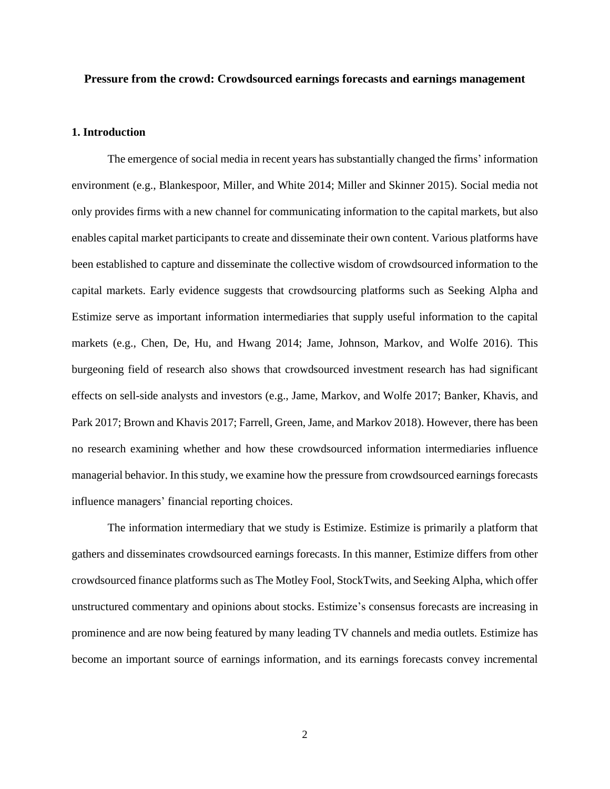### **Pressure from the crowd: Crowdsourced earnings forecasts and earnings management**

### **1. Introduction**

The emergence of social media in recent years has substantially changed the firms' information environment (e.g., Blankespoor, Miller, and White 2014; Miller and Skinner 2015). Social media not only provides firms with a new channel for communicating information to the capital markets, but also enables capital market participants to create and disseminate their own content. Various platforms have been established to capture and disseminate the collective wisdom of crowdsourced information to the capital markets. Early evidence suggests that crowdsourcing platforms such as Seeking Alpha and Estimize serve as important information intermediaries that supply useful information to the capital markets (e.g., Chen, De, Hu, and Hwang 2014; Jame, Johnson, Markov, and Wolfe 2016). This burgeoning field of research also shows that crowdsourced investment research has had significant effects on sell-side analysts and investors (e.g., Jame, Markov, and Wolfe 2017; Banker, Khavis, and Park 2017; Brown and Khavis 2017; Farrell, Green, Jame, and Markov 2018). However, there has been no research examining whether and how these crowdsourced information intermediaries influence managerial behavior. In this study, we examine how the pressure from crowdsourced earnings forecasts influence managers' financial reporting choices.

The information intermediary that we study is Estimize. Estimize is primarily a platform that gathers and disseminates crowdsourced earnings forecasts. In this manner, Estimize differs from other crowdsourced finance platforms such as The Motley Fool, StockTwits, and Seeking Alpha, which offer unstructured commentary and opinions about stocks. Estimize's consensus forecasts are increasing in prominence and are now being featured by many leading TV channels and media outlets. Estimize has become an important source of earnings information, and its earnings forecasts convey incremental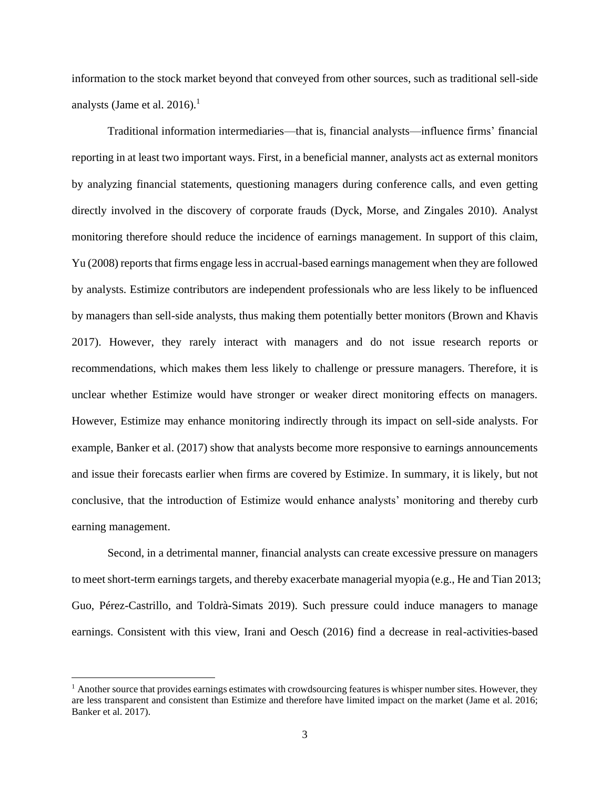information to the stock market beyond that conveyed from other sources, such as traditional sell-side analysts (Jame et al. 2016).<sup>1</sup>

Traditional information intermediaries—that is, financial analysts—influence firms' financial reporting in at least two important ways. First, in a beneficial manner, analysts act as external monitors by analyzing financial statements, questioning managers during conference calls, and even getting directly involved in the discovery of corporate frauds (Dyck, Morse, and Zingales 2010). Analyst monitoring therefore should reduce the incidence of earnings management. In support of this claim, Yu (2008) reports that firms engage less in accrual-based earnings management when they are followed by analysts. Estimize contributors are independent professionals who are less likely to be influenced by managers than sell-side analysts, thus making them potentially better monitors (Brown and Khavis 2017). However, they rarely interact with managers and do not issue research reports or recommendations, which makes them less likely to challenge or pressure managers. Therefore, it is unclear whether Estimize would have stronger or weaker direct monitoring effects on managers. However, Estimize may enhance monitoring indirectly through its impact on sell-side analysts. For example, Banker et al. (2017) show that analysts become more responsive to earnings announcements and issue their forecasts earlier when firms are covered by Estimize. In summary, it is likely, but not conclusive, that the introduction of Estimize would enhance analysts' monitoring and thereby curb earning management.

Second, in a detrimental manner, financial analysts can create excessive pressure on managers to meet short-term earnings targets, and thereby exacerbate managerial myopia (e.g., He and Tian 2013; Guo, Pérez-Castrillo, and Toldrà-Simats 2019). Such pressure could induce managers to manage earnings. Consistent with this view, Irani and Oesch (2016) find a decrease in real-activities-based

<sup>&</sup>lt;sup>1</sup> Another source that provides earnings estimates with crowdsourcing features is whisper number sites. However, they are less transparent and consistent than Estimize and therefore have limited impact on the market (Jame et al. 2016; Banker et al. 2017).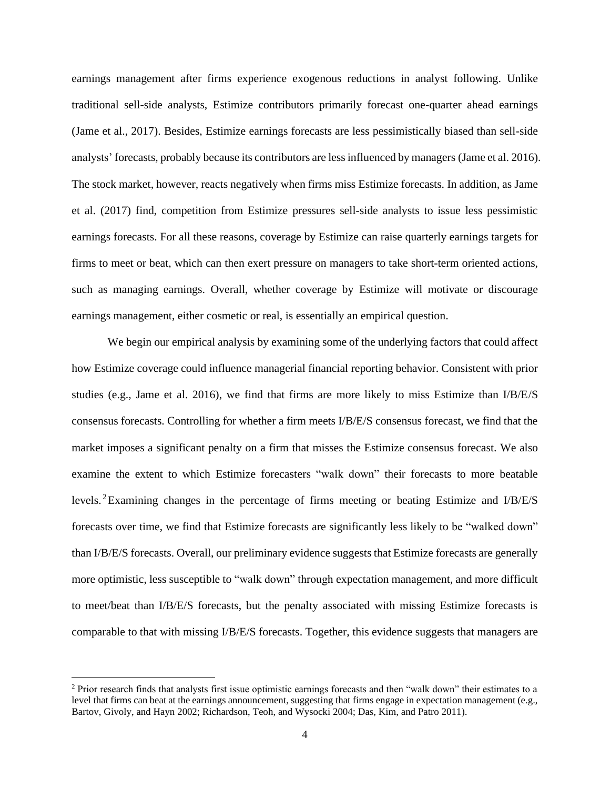earnings management after firms experience exogenous reductions in analyst following. Unlike traditional sell-side analysts, Estimize contributors primarily forecast one-quarter ahead earnings (Jame et al., 2017). Besides, Estimize earnings forecasts are less pessimistically biased than sell-side analysts' forecasts, probably because its contributors are less influenced by managers (Jame et al. 2016). The stock market, however, reacts negatively when firms miss Estimize forecasts. In addition, as Jame et al. (2017) find, competition from Estimize pressures sell-side analysts to issue less pessimistic earnings forecasts. For all these reasons, coverage by Estimize can raise quarterly earnings targets for firms to meet or beat, which can then exert pressure on managers to take short-term oriented actions, such as managing earnings. Overall, whether coverage by Estimize will motivate or discourage earnings management, either cosmetic or real, is essentially an empirical question.

We begin our empirical analysis by examining some of the underlying factors that could affect how Estimize coverage could influence managerial financial reporting behavior. Consistent with prior studies (e.g., Jame et al. 2016), we find that firms are more likely to miss Estimize than I/B/E/S consensus forecasts. Controlling for whether a firm meets I/B/E/S consensus forecast, we find that the market imposes a significant penalty on a firm that misses the Estimize consensus forecast. We also examine the extent to which Estimize forecasters "walk down" their forecasts to more beatable levels. <sup>2</sup>Examining changes in the percentage of firms meeting or beating Estimize and I/B/E/S forecasts over time, we find that Estimize forecasts are significantly less likely to be "walked down" than I/B/E/S forecasts. Overall, our preliminary evidence suggests that Estimize forecasts are generally more optimistic, less susceptible to "walk down" through expectation management, and more difficult to meet/beat than I/B/E/S forecasts, but the penalty associated with missing Estimize forecasts is comparable to that with missing I/B/E/S forecasts. Together, this evidence suggests that managers are

<sup>2</sup> Prior research finds that analysts first issue optimistic earnings forecasts and then "walk down" their estimates to a level that firms can beat at the earnings announcement, suggesting that firms engage in expectation management (e.g., Bartov, Givoly, and Hayn 2002; Richardson, Teoh, and Wysocki 2004; Das, Kim, and Patro 2011).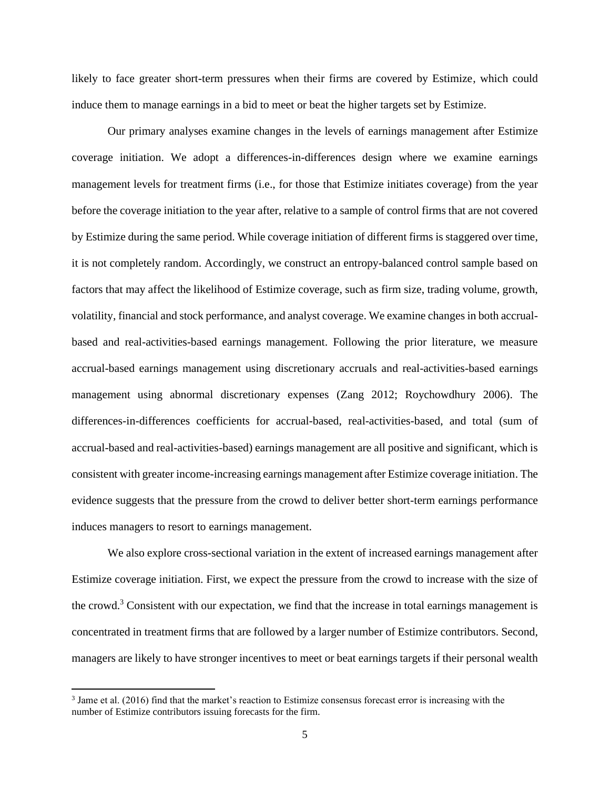likely to face greater short-term pressures when their firms are covered by Estimize, which could induce them to manage earnings in a bid to meet or beat the higher targets set by Estimize.

Our primary analyses examine changes in the levels of earnings management after Estimize coverage initiation. We adopt a differences-in-differences design where we examine earnings management levels for treatment firms (i.e., for those that Estimize initiates coverage) from the year before the coverage initiation to the year after, relative to a sample of control firms that are not covered by Estimize during the same period. While coverage initiation of different firms is staggered over time, it is not completely random. Accordingly, we construct an entropy-balanced control sample based on factors that may affect the likelihood of Estimize coverage, such as firm size, trading volume, growth, volatility, financial and stock performance, and analyst coverage. We examine changes in both accrualbased and real-activities-based earnings management. Following the prior literature, we measure accrual-based earnings management using discretionary accruals and real-activities-based earnings management using abnormal discretionary expenses (Zang 2012; Roychowdhury 2006). The differences-in-differences coefficients for accrual-based, real-activities-based, and total (sum of accrual-based and real-activities-based) earnings management are all positive and significant, which is consistent with greater income-increasing earnings management after Estimize coverage initiation. The evidence suggests that the pressure from the crowd to deliver better short-term earnings performance induces managers to resort to earnings management.

We also explore cross-sectional variation in the extent of increased earnings management after Estimize coverage initiation. First, we expect the pressure from the crowd to increase with the size of the crowd. <sup>3</sup> Consistent with our expectation, we find that the increase in total earnings management is concentrated in treatment firms that are followed by a larger number of Estimize contributors. Second, managers are likely to have stronger incentives to meet or beat earnings targets if their personal wealth

<sup>&</sup>lt;sup>3</sup> Jame et al. (2016) find that the market's reaction to Estimize consensus forecast error is increasing with the number of Estimize contributors issuing forecasts for the firm.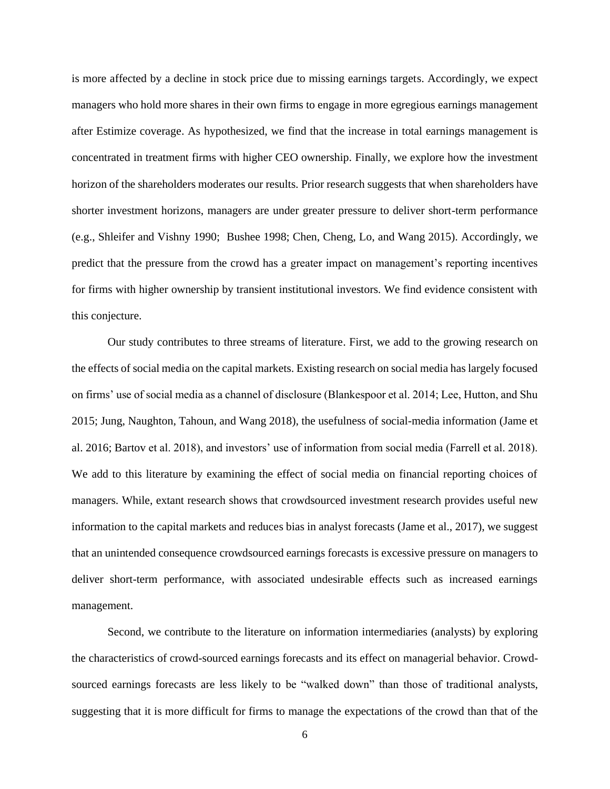is more affected by a decline in stock price due to missing earnings targets. Accordingly, we expect managers who hold more shares in their own firms to engage in more egregious earnings management after Estimize coverage. As hypothesized, we find that the increase in total earnings management is concentrated in treatment firms with higher CEO ownership. Finally, we explore how the investment horizon of the shareholders moderates our results. Prior research suggests that when shareholders have shorter investment horizons, managers are under greater pressure to deliver short-term performance (e.g., Shleifer and Vishny 1990; Bushee 1998; Chen, Cheng, Lo, and Wang 2015). Accordingly, we predict that the pressure from the crowd has a greater impact on management's reporting incentives for firms with higher ownership by transient institutional investors. We find evidence consistent with this conjecture.

Our study contributes to three streams of literature. First, we add to the growing research on the effects of social media on the capital markets. Existing research on social media has largely focused on firms' use of social media as a channel of disclosure (Blankespoor et al. 2014; Lee, Hutton, and Shu 2015; Jung, Naughton, Tahoun, and Wang 2018), the usefulness of social-media information (Jame et al. 2016; Bartov et al. 2018), and investors' use of information from social media (Farrell et al. 2018). We add to this literature by examining the effect of social media on financial reporting choices of managers. While, extant research shows that crowdsourced investment research provides useful new information to the capital markets and reduces bias in analyst forecasts (Jame et al., 2017), we suggest that an unintended consequence crowdsourced earnings forecasts is excessive pressure on managers to deliver short-term performance, with associated undesirable effects such as increased earnings management.

Second, we contribute to the literature on information intermediaries (analysts) by exploring the characteristics of crowd-sourced earnings forecasts and its effect on managerial behavior. Crowdsourced earnings forecasts are less likely to be "walked down" than those of traditional analysts, suggesting that it is more difficult for firms to manage the expectations of the crowd than that of the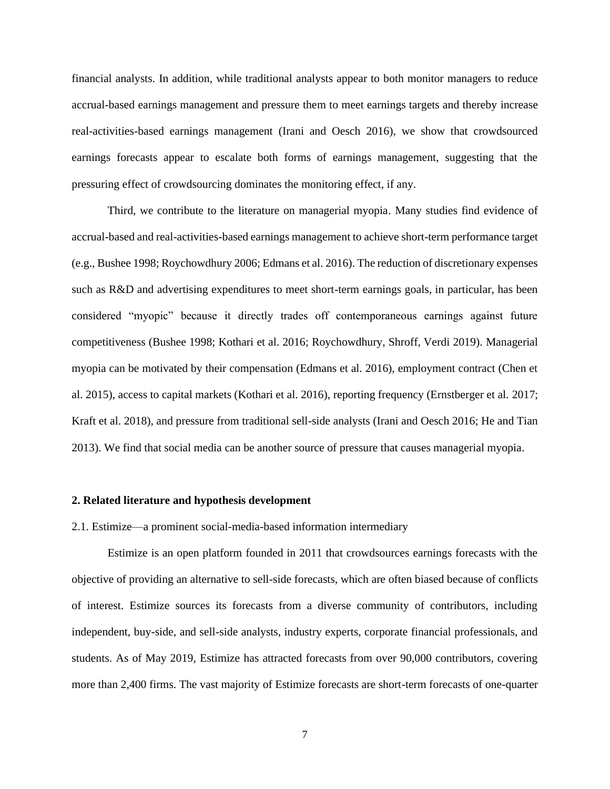financial analysts. In addition, while traditional analysts appear to both monitor managers to reduce accrual-based earnings management and pressure them to meet earnings targets and thereby increase real-activities-based earnings management (Irani and Oesch 2016), we show that crowdsourced earnings forecasts appear to escalate both forms of earnings management, suggesting that the pressuring effect of crowdsourcing dominates the monitoring effect, if any.

Third, we contribute to the literature on managerial myopia. Many studies find evidence of accrual-based and real-activities-based earnings management to achieve short-term performance target (e.g., Bushee 1998; Roychowdhury 2006; Edmans et al. 2016). The reduction of discretionary expenses such as R&D and advertising expenditures to meet short-term earnings goals, in particular, has been considered "myopic" because it directly trades off contemporaneous earnings against future competitiveness (Bushee 1998; Kothari et al. 2016; Roychowdhury, Shroff, Verdi 2019). Managerial myopia can be motivated by their compensation (Edmans et al. 2016), employment contract (Chen et al. 2015), access to capital markets (Kothari et al. 2016), reporting frequency (Ernstberger et al. 2017; Kraft et al. 2018), and pressure from traditional sell-side analysts (Irani and Oesch 2016; He and Tian 2013). We find that social media can be another source of pressure that causes managerial myopia.

#### **2. Related literature and hypothesis development**

2.1. Estimize—a prominent social-media-based information intermediary

Estimize is an open platform founded in 2011 that crowdsources earnings forecasts with the objective of providing an alternative to sell-side forecasts, which are often biased because of conflicts of interest. Estimize sources its forecasts from a diverse community of contributors, including independent, buy-side, and sell-side analysts, industry experts, corporate financial professionals, and students. As of May 2019, Estimize has attracted forecasts from over 90,000 contributors, covering more than 2,400 firms. The vast majority of Estimize forecasts are short-term forecasts of one-quarter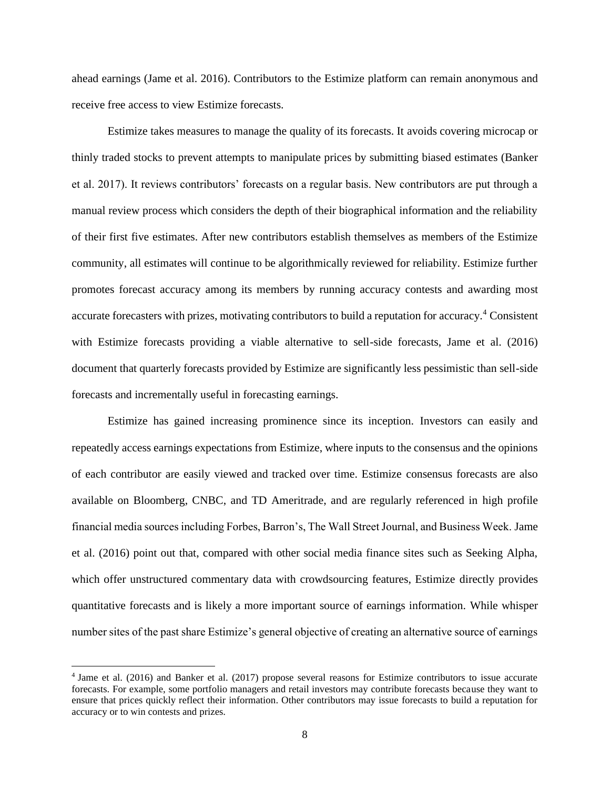ahead earnings (Jame et al. 2016). Contributors to the Estimize platform can remain anonymous and receive free access to view Estimize forecasts.

Estimize takes measures to manage the quality of its forecasts. It avoids covering microcap or thinly traded stocks to prevent attempts to manipulate prices by submitting biased estimates (Banker et al. 2017). It reviews contributors' forecasts on a regular basis. New contributors are put through a manual review process which considers the depth of their biographical information and the reliability of their first five estimates. After new contributors establish themselves as members of the Estimize community, all estimates will continue to be algorithmically reviewed for reliability. Estimize further promotes forecast accuracy among its members by running accuracy contests and awarding most accurate forecasters with prizes, motivating contributors to build a reputation for accuracy.<sup>4</sup> Consistent with Estimize forecasts providing a viable alternative to sell-side forecasts, Jame et al. (2016) document that quarterly forecasts provided by Estimize are significantly less pessimistic than sell-side forecasts and incrementally useful in forecasting earnings.

Estimize has gained increasing prominence since its inception. Investors can easily and repeatedly access earnings expectations from Estimize, where inputs to the consensus and the opinions of each contributor are easily viewed and tracked over time. Estimize consensus forecasts are also available on Bloomberg, CNBC, and TD Ameritrade, and are regularly referenced in high profile financial media sources including Forbes, Barron's, The Wall Street Journal, and Business Week. Jame et al. (2016) point out that, compared with other social media finance sites such as Seeking Alpha, which offer unstructured commentary data with crowdsourcing features, Estimize directly provides quantitative forecasts and is likely a more important source of earnings information. While whisper number sites of the past share Estimize's general objective of creating an alternative source of earnings

<sup>4</sup> Jame et al. (2016) and Banker et al. (2017) propose several reasons for Estimize contributors to issue accurate forecasts. For example, some portfolio managers and retail investors may contribute forecasts because they want to ensure that prices quickly reflect their information. Other contributors may issue forecasts to build a reputation for accuracy or to win contests and prizes.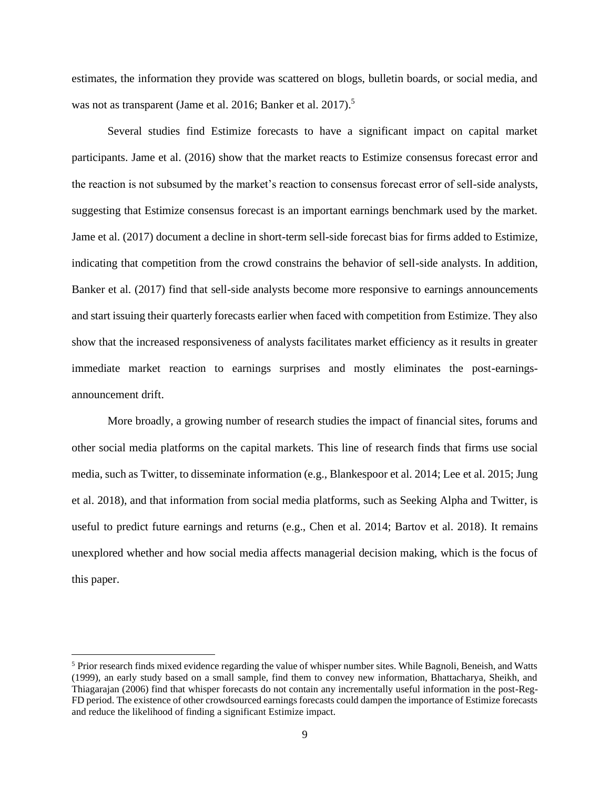estimates, the information they provide was scattered on blogs, bulletin boards, or social media, and was not as transparent (Jame et al. 2016; Banker et al. 2017).<sup>5</sup>

Several studies find Estimize forecasts to have a significant impact on capital market participants. Jame et al. (2016) show that the market reacts to Estimize consensus forecast error and the reaction is not subsumed by the market's reaction to consensus forecast error of sell-side analysts, suggesting that Estimize consensus forecast is an important earnings benchmark used by the market. Jame et al. (2017) document a decline in short-term sell-side forecast bias for firms added to Estimize, indicating that competition from the crowd constrains the behavior of sell-side analysts. In addition, Banker et al. (2017) find that sell-side analysts become more responsive to earnings announcements and start issuing their quarterly forecasts earlier when faced with competition from Estimize. They also show that the increased responsiveness of analysts facilitates market efficiency as it results in greater immediate market reaction to earnings surprises and mostly eliminates the post-earningsannouncement drift.

More broadly, a growing number of research studies the impact of financial sites, forums and other social media platforms on the capital markets. This line of research finds that firms use social media, such as Twitter, to disseminate information (e.g., Blankespoor et al. 2014; Lee et al. 2015; Jung et al. 2018), and that information from social media platforms, such as Seeking Alpha and Twitter, is useful to predict future earnings and returns (e.g., Chen et al. 2014; Bartov et al. 2018). It remains unexplored whether and how social media affects managerial decision making, which is the focus of this paper.

<sup>5</sup> Prior research finds mixed evidence regarding the value of whisper number sites. While Bagnoli, Beneish, and Watts (1999), an early study based on a small sample, find them to convey new information, Bhattacharya, Sheikh, and Thiagarajan (2006) find that whisper forecasts do not contain any incrementally useful information in the post-Reg-FD period. The existence of other crowdsourced earnings forecasts could dampen the importance of Estimize forecasts and reduce the likelihood of finding a significant Estimize impact.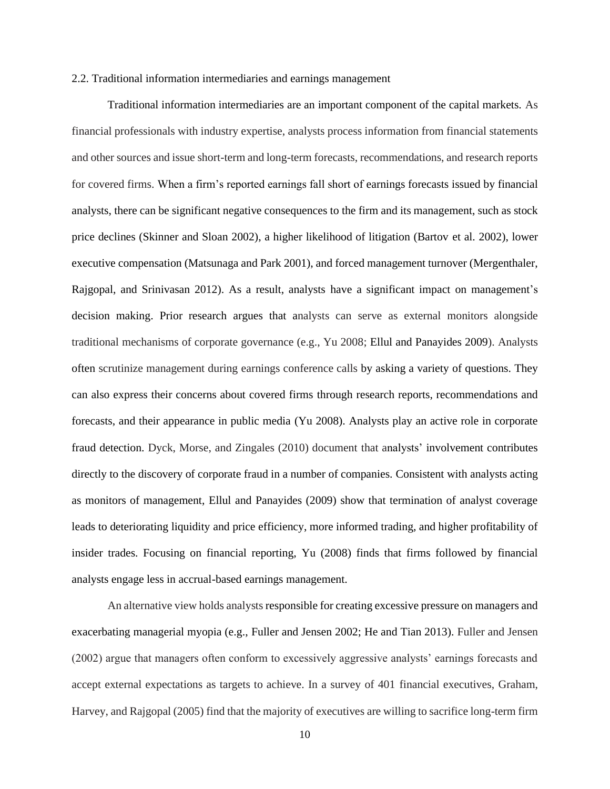#### 2.2. Traditional information intermediaries and earnings management

Traditional information intermediaries are an important component of the capital markets. As financial professionals with industry expertise, analysts process information from financial statements and other sources and issue short-term and long-term forecasts, recommendations, and research reports for covered firms. When a firm's reported earnings fall short of earnings forecasts issued by financial analysts, there can be significant negative consequences to the firm and its management, such as stock price declines (Skinner and Sloan 2002), a higher likelihood of litigation (Bartov et al. 2002), lower executive compensation (Matsunaga and Park 2001), and forced management turnover (Mergenthaler, Rajgopal, and Srinivasan 2012). As a result, analysts have a significant impact on management's decision making. Prior research argues that analysts can serve as external monitors alongside traditional mechanisms of corporate governance (e.g., Yu 2008; Ellul and Panayides 2009). Analysts often scrutinize management during earnings conference calls by asking a variety of questions. They can also express their concerns about covered firms through research reports, recommendations and forecasts, and their appearance in public media (Yu 2008). Analysts play an active role in corporate fraud detection. Dyck, Morse, and Zingales (2010) document that analysts' involvement contributes directly to the discovery of corporate fraud in a number of companies. Consistent with analysts acting as monitors of management, Ellul and Panayides (2009) show that termination of analyst coverage leads to deteriorating liquidity and price efficiency, more informed trading, and higher profitability of insider trades. Focusing on financial reporting, Yu (2008) finds that firms followed by financial analysts engage less in accrual-based earnings management.

An alternative view holds analysts responsible for creating excessive pressure on managers and exacerbating managerial myopia (e.g., Fuller and Jensen 2002; He and Tian 2013). Fuller and Jensen (2002) argue that managers often conform to excessively aggressive analysts' earnings forecasts and accept external expectations as targets to achieve. In a survey of 401 financial executives, Graham, Harvey, and Rajgopal (2005) find that the majority of executives are willing to sacrifice long-term firm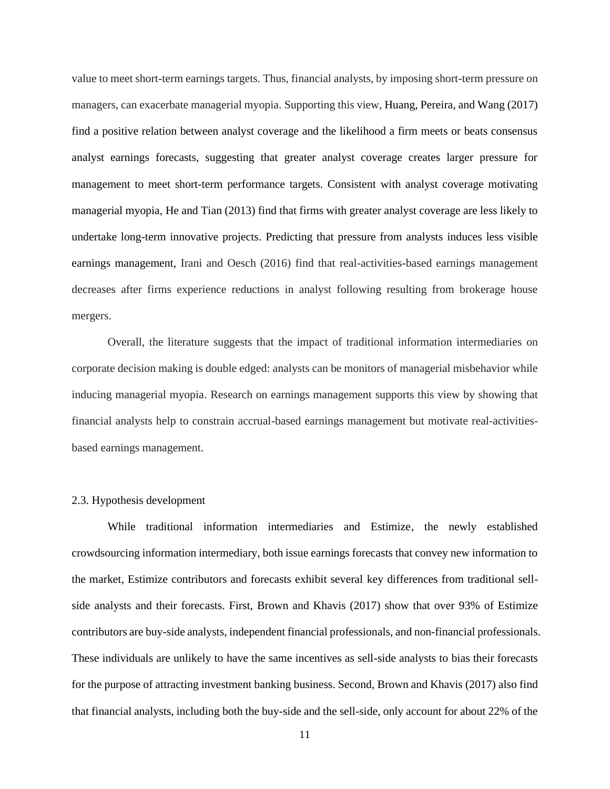value to meet short-term earnings targets. Thus, financial analysts, by imposing short-term pressure on managers, can exacerbate managerial myopia. Supporting this view, Huang, Pereira, and Wang (2017) find a positive relation between analyst coverage and the likelihood a firm meets or beats consensus analyst earnings forecasts, suggesting that greater analyst coverage creates larger pressure for management to meet short-term performance targets. Consistent with analyst coverage motivating managerial myopia, He and Tian (2013) find that firms with greater analyst coverage are less likely to undertake long-term innovative projects. Predicting that pressure from analysts induces less visible earnings management, Irani and Oesch (2016) find that real-activities-based earnings management decreases after firms experience reductions in analyst following resulting from brokerage house mergers.

Overall, the literature suggests that the impact of traditional information intermediaries on corporate decision making is double edged: analysts can be monitors of managerial misbehavior while inducing managerial myopia. Research on earnings management supports this view by showing that financial analysts help to constrain accrual-based earnings management but motivate real-activitiesbased earnings management.

#### 2.3. Hypothesis development

While traditional information intermediaries and Estimize, the newly established crowdsourcing information intermediary, both issue earnings forecasts that convey new information to the market, Estimize contributors and forecasts exhibit several key differences from traditional sellside analysts and their forecasts. First, Brown and Khavis (2017) show that over 93% of Estimize contributors are buy-side analysts, independent financial professionals, and non-financial professionals. These individuals are unlikely to have the same incentives as sell-side analysts to bias their forecasts for the purpose of attracting investment banking business. Second, Brown and Khavis (2017) also find that financial analysts, including both the buy-side and the sell-side, only account for about 22% of the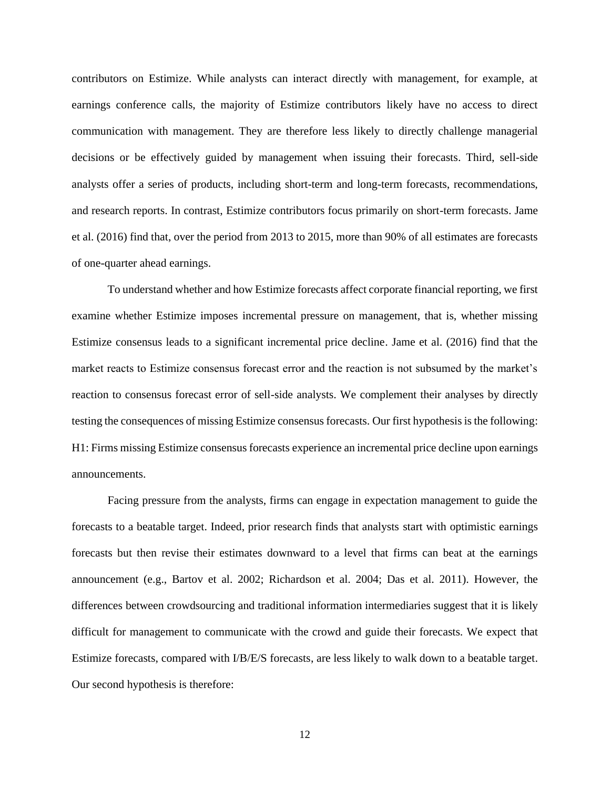contributors on Estimize. While analysts can interact directly with management, for example, at earnings conference calls, the majority of Estimize contributors likely have no access to direct communication with management. They are therefore less likely to directly challenge managerial decisions or be effectively guided by management when issuing their forecasts. Third, sell-side analysts offer a series of products, including short-term and long-term forecasts, recommendations, and research reports. In contrast, Estimize contributors focus primarily on short-term forecasts. Jame et al. (2016) find that, over the period from 2013 to 2015, more than 90% of all estimates are forecasts of one-quarter ahead earnings.

To understand whether and how Estimize forecasts affect corporate financial reporting, we first examine whether Estimize imposes incremental pressure on management, that is, whether missing Estimize consensus leads to a significant incremental price decline. Jame et al. (2016) find that the market reacts to Estimize consensus forecast error and the reaction is not subsumed by the market's reaction to consensus forecast error of sell-side analysts. We complement their analyses by directly testing the consequences of missing Estimize consensus forecasts. Our first hypothesis is the following: H1: Firms missing Estimize consensus forecasts experience an incremental price decline upon earnings announcements.

Facing pressure from the analysts, firms can engage in expectation management to guide the forecasts to a beatable target. Indeed, prior research finds that analysts start with optimistic earnings forecasts but then revise their estimates downward to a level that firms can beat at the earnings announcement (e.g., Bartov et al. 2002; Richardson et al. 2004; Das et al. 2011). However, the differences between crowdsourcing and traditional information intermediaries suggest that it is likely difficult for management to communicate with the crowd and guide their forecasts. We expect that Estimize forecasts, compared with I/B/E/S forecasts, are less likely to walk down to a beatable target. Our second hypothesis is therefore: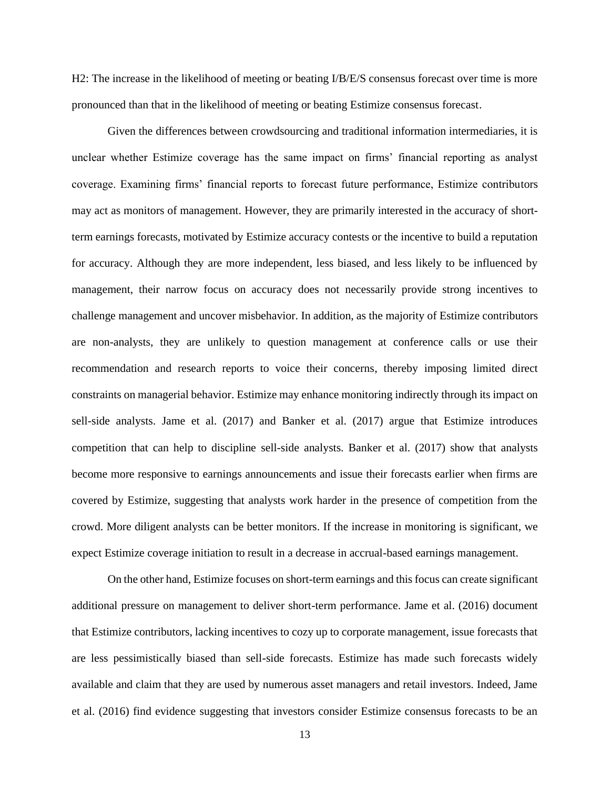H2: The increase in the likelihood of meeting or beating I/B/E/S consensus forecast over time is more pronounced than that in the likelihood of meeting or beating Estimize consensus forecast.

Given the differences between crowdsourcing and traditional information intermediaries, it is unclear whether Estimize coverage has the same impact on firms' financial reporting as analyst coverage. Examining firms' financial reports to forecast future performance, Estimize contributors may act as monitors of management. However, they are primarily interested in the accuracy of shortterm earnings forecasts, motivated by Estimize accuracy contests or the incentive to build a reputation for accuracy. Although they are more independent, less biased, and less likely to be influenced by management, their narrow focus on accuracy does not necessarily provide strong incentives to challenge management and uncover misbehavior. In addition, as the majority of Estimize contributors are non-analysts, they are unlikely to question management at conference calls or use their recommendation and research reports to voice their concerns, thereby imposing limited direct constraints on managerial behavior. Estimize may enhance monitoring indirectly through its impact on sell-side analysts. Jame et al. (2017) and Banker et al. (2017) argue that Estimize introduces competition that can help to discipline sell-side analysts. Banker et al. (2017) show that analysts become more responsive to earnings announcements and issue their forecasts earlier when firms are covered by Estimize, suggesting that analysts work harder in the presence of competition from the crowd. More diligent analysts can be better monitors. If the increase in monitoring is significant, we expect Estimize coverage initiation to result in a decrease in accrual-based earnings management.

On the other hand, Estimize focuses on short-term earnings and this focus can create significant additional pressure on management to deliver short-term performance. Jame et al. (2016) document that Estimize contributors, lacking incentives to cozy up to corporate management, issue forecasts that are less pessimistically biased than sell-side forecasts. Estimize has made such forecasts widely available and claim that they are used by numerous asset managers and retail investors. Indeed, Jame et al. (2016) find evidence suggesting that investors consider Estimize consensus forecasts to be an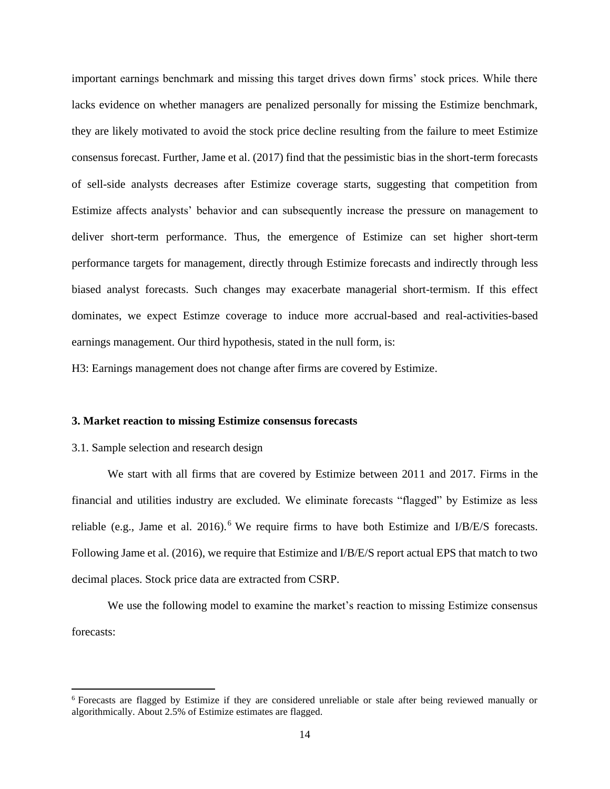important earnings benchmark and missing this target drives down firms' stock prices. While there lacks evidence on whether managers are penalized personally for missing the Estimize benchmark, they are likely motivated to avoid the stock price decline resulting from the failure to meet Estimize consensus forecast. Further, Jame et al. (2017) find that the pessimistic bias in the short-term forecasts of sell-side analysts decreases after Estimize coverage starts, suggesting that competition from Estimize affects analysts' behavior and can subsequently increase the pressure on management to deliver short-term performance. Thus, the emergence of Estimize can set higher short-term performance targets for management, directly through Estimize forecasts and indirectly through less biased analyst forecasts. Such changes may exacerbate managerial short-termism. If this effect dominates, we expect Estimze coverage to induce more accrual-based and real-activities-based earnings management. Our third hypothesis, stated in the null form, is:

H3: Earnings management does not change after firms are covered by Estimize.

## **3. Market reaction to missing Estimize consensus forecasts**

#### 3.1. Sample selection and research design

We start with all firms that are covered by Estimize between 2011 and 2017. Firms in the financial and utilities industry are excluded. We eliminate forecasts "flagged" by Estimize as less reliable (e.g., Jame et al. 2016).<sup>6</sup> We require firms to have both Estimize and I/B/E/S forecasts. Following Jame et al. (2016), we require that Estimize and I/B/E/S report actual EPS that match to two decimal places. Stock price data are extracted from CSRP.

We use the following model to examine the market's reaction to missing Estimize consensus forecasts:

<sup>6</sup> Forecasts are flagged by Estimize if they are considered unreliable or stale after being reviewed manually or algorithmically. About 2.5% of Estimize estimates are flagged.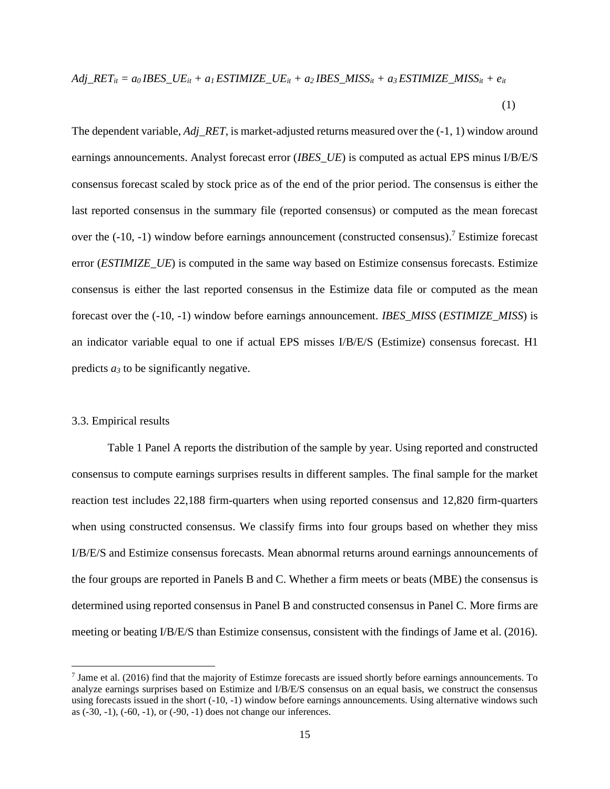Adj<sub>\_\_</sub>RET<sub>it</sub> = 
$$
a_0
$$
IBES<sub>\_\_</sub>UE<sub>it</sub> +  $a_1$ ESTIMIZE<sub>\_\_</sub>UE<sub>it</sub> +  $a_2$ IBES<sub>\_\_</sub>MISS<sub>it</sub> +  $a_3$ ESTIMIZE<sub>\_\_</sub>MISS<sub>it</sub> +  $e_{it}$ \n(1)

The dependent variable, *Adj\_RET*, is market-adjusted returns measured over the (-1, 1) window around earnings announcements. Analyst forecast error (*IBES\_UE*) is computed as actual EPS minus I/B/E/S consensus forecast scaled by stock price as of the end of the prior period. The consensus is either the last reported consensus in the summary file (reported consensus) or computed as the mean forecast over the (-10, -1) window before earnings announcement (constructed consensus).<sup>7</sup> Estimize forecast error (*ESTIMIZE\_UE*) is computed in the same way based on Estimize consensus forecasts. Estimize consensus is either the last reported consensus in the Estimize data file or computed as the mean forecast over the (-10, -1) window before earnings announcement. *IBES\_MISS* (*ESTIMIZE\_MISS*) is an indicator variable equal to one if actual EPS misses I/B/E/S (Estimize) consensus forecast. H1 predicts  $a_3$  to be significantly negative.

### 3.3. Empirical results

Table 1 Panel A reports the distribution of the sample by year. Using reported and constructed consensus to compute earnings surprises results in different samples. The final sample for the market reaction test includes 22,188 firm-quarters when using reported consensus and 12,820 firm-quarters when using constructed consensus. We classify firms into four groups based on whether they miss I/B/E/S and Estimize consensus forecasts. Mean abnormal returns around earnings announcements of the four groups are reported in Panels B and C. Whether a firm meets or beats (MBE) the consensus is determined using reported consensus in Panel B and constructed consensus in Panel C. More firms are meeting or beating I/B/E/S than Estimize consensus, consistent with the findings of Jame et al. (2016).

<sup>&</sup>lt;sup>7</sup> Jame et al. (2016) find that the majority of Estimze forecasts are issued shortly before earnings announcements. To analyze earnings surprises based on Estimize and I/B/E/S consensus on an equal basis, we construct the consensus using forecasts issued in the short (-10, -1) window before earnings announcements. Using alternative windows such as (-30, -1), (-60, -1), or (-90, -1) does not change our inferences.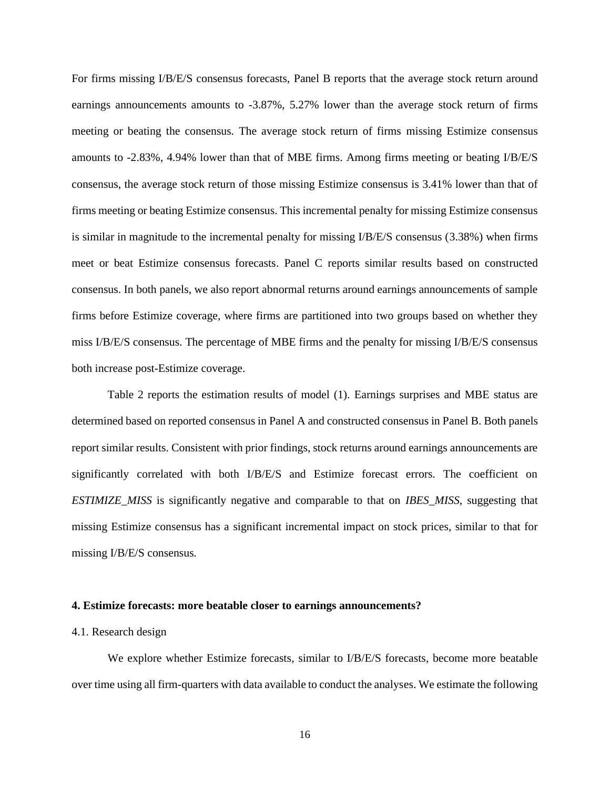For firms missing I/B/E/S consensus forecasts, Panel B reports that the average stock return around earnings announcements amounts to -3.87%, 5.27% lower than the average stock return of firms meeting or beating the consensus. The average stock return of firms missing Estimize consensus amounts to -2.83%, 4.94% lower than that of MBE firms. Among firms meeting or beating I/B/E/S consensus, the average stock return of those missing Estimize consensus is 3.41% lower than that of firms meeting or beating Estimize consensus. This incremental penalty for missing Estimize consensus is similar in magnitude to the incremental penalty for missing I/B/E/S consensus (3.38%) when firms meet or beat Estimize consensus forecasts. Panel C reports similar results based on constructed consensus. In both panels, we also report abnormal returns around earnings announcements of sample firms before Estimize coverage, where firms are partitioned into two groups based on whether they miss I/B/E/S consensus. The percentage of MBE firms and the penalty for missing I/B/E/S consensus both increase post-Estimize coverage.

Table 2 reports the estimation results of model (1). Earnings surprises and MBE status are determined based on reported consensus in Panel A and constructed consensus in Panel B. Both panels report similar results. Consistent with prior findings, stock returns around earnings announcements are significantly correlated with both I/B/E/S and Estimize forecast errors. The coefficient on *ESTIMIZE\_MISS* is significantly negative and comparable to that on *IBES\_MISS*, suggesting that missing Estimize consensus has a significant incremental impact on stock prices, similar to that for missing I/B/E/S consensus.

### **4. Estimize forecasts: more beatable closer to earnings announcements?**

### 4.1. Research design

We explore whether Estimize forecasts, similar to I/B/E/S forecasts, become more beatable over time using all firm-quarters with data available to conduct the analyses. We estimate the following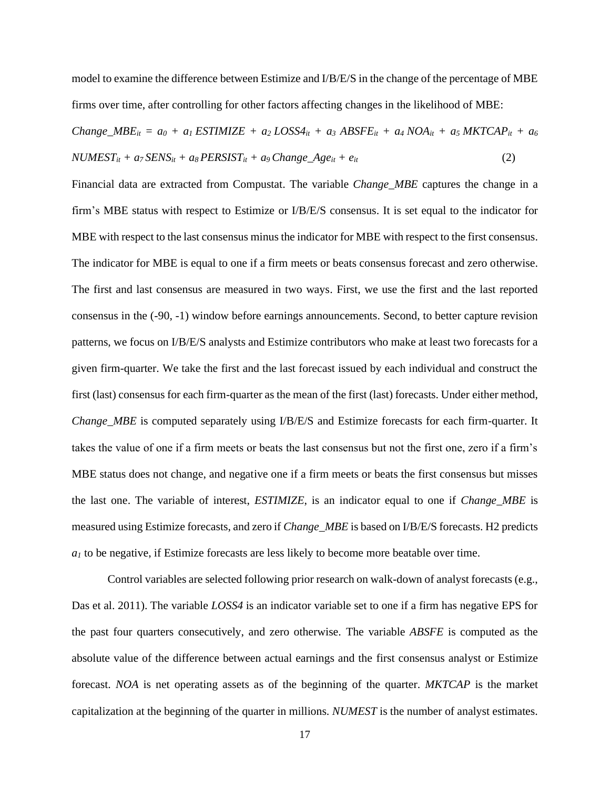model to examine the difference between Estimize and I/B/E/S in the change of the percentage of MBE firms over time, after controlling for other factors affecting changes in the likelihood of MBE:

Change<sub>u</sub>*MBE<sub>it</sub>* = 
$$
a_0 + a_1 \text{ ESTIMIZE} + a_2 \text{ LOSS4}_{it} + a_3 \text{ ABSFE}_{it} + a_4 \text{ NOA}_{it} + a_5 \text{ MKTCAP}_{it} + a_6 \text{ NUMEST}_{it} + a_7 \text{ SENS}_{it} + a_8 \text{ PERSONS}_{it} + a_9 \text{Change}_{at} + e_{it}
$$
 (2)

Financial data are extracted from Compustat. The variable *Change\_MBE* captures the change in a firm's MBE status with respect to Estimize or I/B/E/S consensus. It is set equal to the indicator for MBE with respect to the last consensus minus the indicator for MBE with respect to the first consensus. The indicator for MBE is equal to one if a firm meets or beats consensus forecast and zero otherwise. The first and last consensus are measured in two ways. First, we use the first and the last reported consensus in the (-90, -1) window before earnings announcements. Second, to better capture revision patterns, we focus on I/B/E/S analysts and Estimize contributors who make at least two forecasts for a given firm-quarter. We take the first and the last forecast issued by each individual and construct the first (last) consensus for each firm-quarter as the mean of the first (last) forecasts. Under either method, *Change\_MBE* is computed separately using I/B/E/S and Estimize forecasts for each firm-quarter. It takes the value of one if a firm meets or beats the last consensus but not the first one, zero if a firm's MBE status does not change, and negative one if a firm meets or beats the first consensus but misses the last one. The variable of interest, *ESTIMIZE*, is an indicator equal to one if *Change\_MBE* is measured using Estimize forecasts, and zero if *Change\_MBE* is based on I/B/E/S forecasts. H2 predicts *a<sup>1</sup>* to be negative, if Estimize forecasts are less likely to become more beatable over time.

Control variables are selected following prior research on walk-down of analyst forecasts (e.g., Das et al. 2011). The variable *LOSS4* is an indicator variable set to one if a firm has negative EPS for the past four quarters consecutively, and zero otherwise. The variable *ABSFE* is computed as the absolute value of the difference between actual earnings and the first consensus analyst or Estimize forecast. *NOA* is net operating assets as of the beginning of the quarter. *MKTCAP* is the market capitalization at the beginning of the quarter in millions. *NUMEST* is the number of analyst estimates.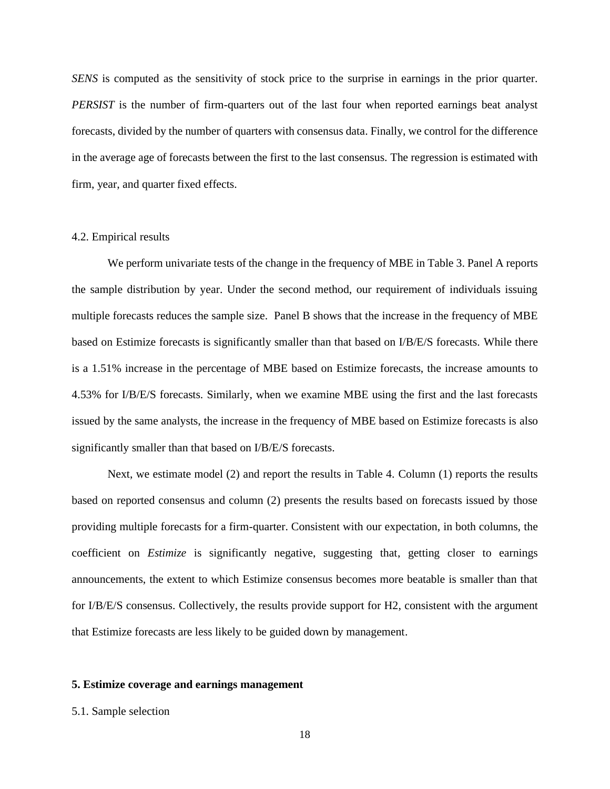*SENS* is computed as the sensitivity of stock price to the surprise in earnings in the prior quarter. *PERSIST* is the number of firm-quarters out of the last four when reported earnings beat analyst forecasts, divided by the number of quarters with consensus data. Finally, we control for the difference in the average age of forecasts between the first to the last consensus. The regression is estimated with firm, year, and quarter fixed effects.

#### 4.2. Empirical results

We perform univariate tests of the change in the frequency of MBE in Table 3. Panel A reports the sample distribution by year. Under the second method, our requirement of individuals issuing multiple forecasts reduces the sample size. Panel B shows that the increase in the frequency of MBE based on Estimize forecasts is significantly smaller than that based on I/B/E/S forecasts. While there is a 1.51% increase in the percentage of MBE based on Estimize forecasts, the increase amounts to 4.53% for I/B/E/S forecasts. Similarly, when we examine MBE using the first and the last forecasts issued by the same analysts, the increase in the frequency of MBE based on Estimize forecasts is also significantly smaller than that based on I/B/E/S forecasts.

Next, we estimate model (2) and report the results in Table 4. Column (1) reports the results based on reported consensus and column (2) presents the results based on forecasts issued by those providing multiple forecasts for a firm-quarter. Consistent with our expectation, in both columns, the coefficient on *Estimize* is significantly negative, suggesting that, getting closer to earnings announcements, the extent to which Estimize consensus becomes more beatable is smaller than that for I/B/E/S consensus. Collectively, the results provide support for H2, consistent with the argument that Estimize forecasts are less likely to be guided down by management.

### **5. Estimize coverage and earnings management**

#### 5.1. Sample selection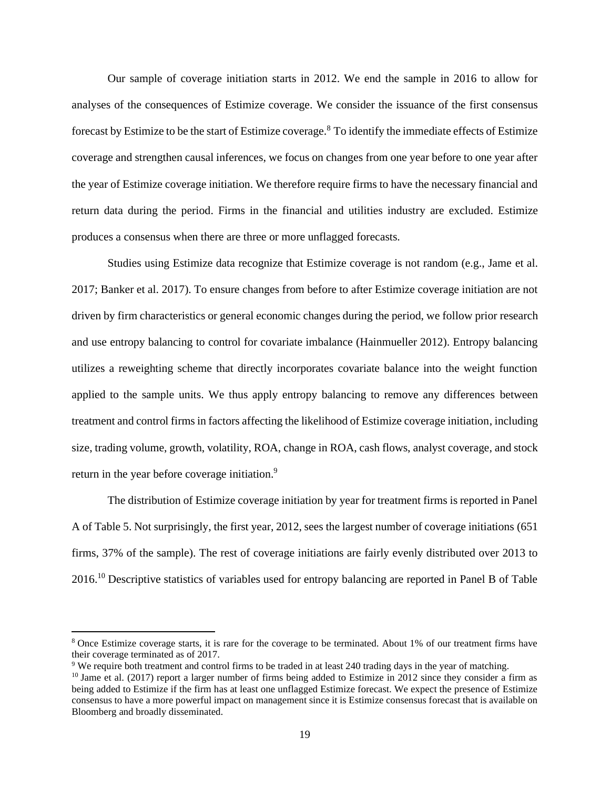Our sample of coverage initiation starts in 2012. We end the sample in 2016 to allow for analyses of the consequences of Estimize coverage. We consider the issuance of the first consensus forecast by Estimize to be the start of Estimize coverage.<sup>8</sup> To identify the immediate effects of Estimize coverage and strengthen causal inferences, we focus on changes from one year before to one year after the year of Estimize coverage initiation. We therefore require firms to have the necessary financial and return data during the period. Firms in the financial and utilities industry are excluded. Estimize produces a consensus when there are three or more unflagged forecasts.

Studies using Estimize data recognize that Estimize coverage is not random (e.g., Jame et al. 2017; Banker et al. 2017). To ensure changes from before to after Estimize coverage initiation are not driven by firm characteristics or general economic changes during the period, we follow prior research and use entropy balancing to control for covariate imbalance (Hainmueller 2012). Entropy balancing utilizes a reweighting scheme that directly incorporates covariate balance into the weight function applied to the sample units. We thus apply entropy balancing to remove any differences between treatment and control firms in factors affecting the likelihood of Estimize coverage initiation, including size, trading volume, growth, volatility, ROA, change in ROA, cash flows, analyst coverage, and stock return in the year before coverage initiation.<sup>9</sup>

The distribution of Estimize coverage initiation by year for treatment firms is reported in Panel A of Table 5. Not surprisingly, the first year, 2012, sees the largest number of coverage initiations (651 firms, 37% of the sample). The rest of coverage initiations are fairly evenly distributed over 2013 to 2016.<sup>10</sup> Descriptive statistics of variables used for entropy balancing are reported in Panel B of Table

<sup>8</sup> Once Estimize coverage starts, it is rare for the coverage to be terminated. About 1% of our treatment firms have their coverage terminated as of 2017.

<sup>9</sup> We require both treatment and control firms to be traded in at least 240 trading days in the year of matching.

 $10$  Jame et al. (2017) report a larger number of firms being added to Estimize in 2012 since they consider a firm as being added to Estimize if the firm has at least one unflagged Estimize forecast. We expect the presence of Estimize consensus to have a more powerful impact on management since it is Estimize consensus forecast that is available on Bloomberg and broadly disseminated.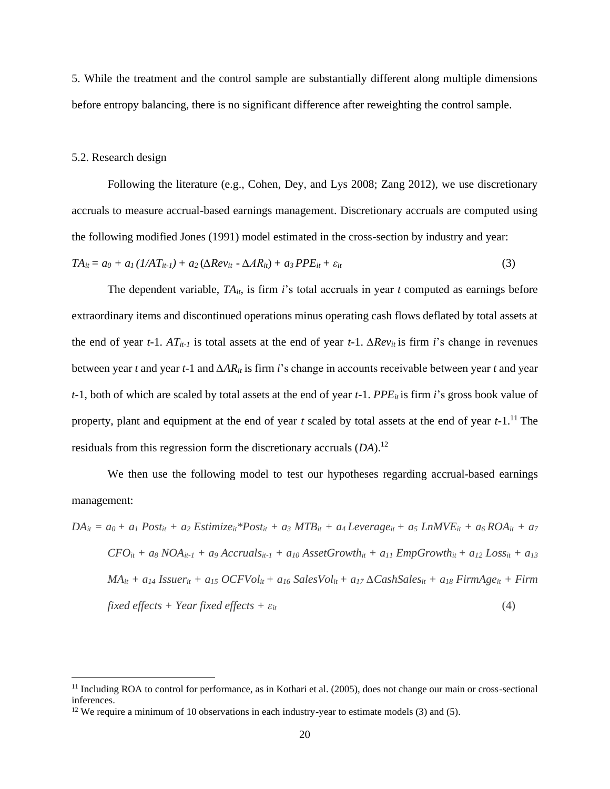5. While the treatment and the control sample are substantially different along multiple dimensions before entropy balancing, there is no significant difference after reweighting the control sample.

#### 5.2. Research design

Following the literature (e.g., Cohen, Dey, and Lys 2008; Zang 2012), we use discretionary accruals to measure accrual-based earnings management. Discretionary accruals are computed using the following modified Jones (1991) model estimated in the cross-section by industry and year:

$$
TA_{it} = a_0 + a_1(1/AT_{it-1}) + a_2(\Delta Rev_{it} - \Delta AR_{it}) + a_3 PPE_{it} + \varepsilon_{it}
$$
\n(3)

The dependent variable,  $TA_{it}$ , is firm *i*'s total accruals in year *t* computed as earnings before extraordinary items and discontinued operations minus operating cash flows deflated by total assets at the end of year  $t$ -1.  $AT_{it-1}$  is total assets at the end of year  $t$ -1.  $\Delta Rev_{it}$  is firm *i*'s change in revenues between year *t* and year *t*-1 and *∆ARit* is firm *i*'s change in accounts receivable between year *t* and year *t*-1, both of which are scaled by total assets at the end of year *t*-1. *PPE<sub>it</sub>* is firm *i*'s gross book value of property, plant and equipment at the end of year *t* scaled by total assets at the end of year *t*-1. <sup>11</sup> The residuals from this regression form the discretionary accruals (*DA*).<sup>12</sup>

We then use the following model to test our hypotheses regarding accrual-based earnings management:

$$
DA_{it} = a_0 + a_1 Post_{it} + a_2 Estimize_{it} * Post_{it} + a_3 MTB_{it} + a_4 Leverage_{it} + a_5 LMIVE_{it} + a_6 ROA_{it} + a_7
$$
  
\n
$$
CFO_{it} + a_8 NOA_{it-1} + a_9 Accruals_{it-1} + a_{10} AssetGrowth_{it} + a_{11} EmpGrowth_{it} + a_{12} Loss_{it} + a_{13}
$$
  
\n
$$
MA_{it} + a_{14} Issuer_{it} + a_{15} OCFVol_{it} + a_{16} SalesVol_{it} + a_{17} \Delta Cash Sales_{it} + a_{18} FirmAge_{it} + Firm
$$
  
\n
$$
fixed effects + Year fixed effects + \varepsilon_{it}
$$
\n(4)

<sup>&</sup>lt;sup>11</sup> Including ROA to control for performance, as in Kothari et al. (2005), does not change our main or cross-sectional inferences.

<sup>&</sup>lt;sup>12</sup> We require a minimum of 10 observations in each industry-year to estimate models  $(3)$  and  $(5)$ .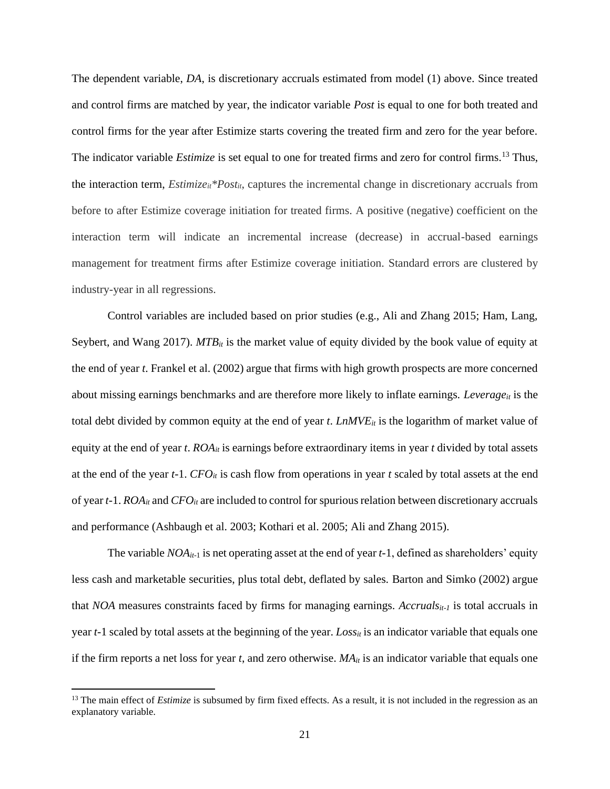The dependent variable, *DA*, is discretionary accruals estimated from model (1) above. Since treated and control firms are matched by year, the indicator variable *Post* is equal to one for both treated and control firms for the year after Estimize starts covering the treated firm and zero for the year before. The indicator variable *Estimize* is set equal to one for treated firms and zero for control firms.<sup>13</sup> Thus, the interaction term, *Estimizeit\*Postit*, captures the incremental change in discretionary accruals from before to after Estimize coverage initiation for treated firms. A positive (negative) coefficient on the interaction term will indicate an incremental increase (decrease) in accrual-based earnings management for treatment firms after Estimize coverage initiation. Standard errors are clustered by industry-year in all regressions.

Control variables are included based on prior studies (e.g., Ali and Zhang 2015; Ham, Lang, Seybert, and Wang 2017).  $MTB_i$  is the market value of equity divided by the book value of equity at the end of year *t*. Frankel et al. (2002) argue that firms with high growth prospects are more concerned about missing earnings benchmarks and are therefore more likely to inflate earnings. *Leverage<sub>it</sub>* is the total debt divided by common equity at the end of year *t*. *LnMVEit* is the logarithm of market value of equity at the end of year *t*.  $ROA<sub>it</sub>$  is earnings before extraordinary items in year *t* divided by total assets at the end of the year  $t$ -1. *CFO*<sup>*i*</sup> is cash flow from operations in year  $t$  scaled by total assets at the end of year *t-*1. *ROAit* and *CFOit* are included to control for spurious relation between discretionary accruals and performance (Ashbaugh et al. 2003; Kothari et al. 2005; Ali and Zhang 2015).

The variable *NOAit-*<sup>1</sup> is net operating asset at the end of year *t*-1, defined as shareholders' equity less cash and marketable securities, plus total debt, deflated by sales. Barton and Simko (2002) argue that *NOA* measures constraints faced by firms for managing earnings. *Accrualsit-1* is total accruals in year *t*-1 scaled by total assets at the beginning of the year. *Lossit* is an indicator variable that equals one if the firm reports a net loss for year *t*, and zero otherwise. *MAit* is an indicator variable that equals one

<sup>&</sup>lt;sup>13</sup> The main effect of *Estimize* is subsumed by firm fixed effects. As a result, it is not included in the regression as an explanatory variable.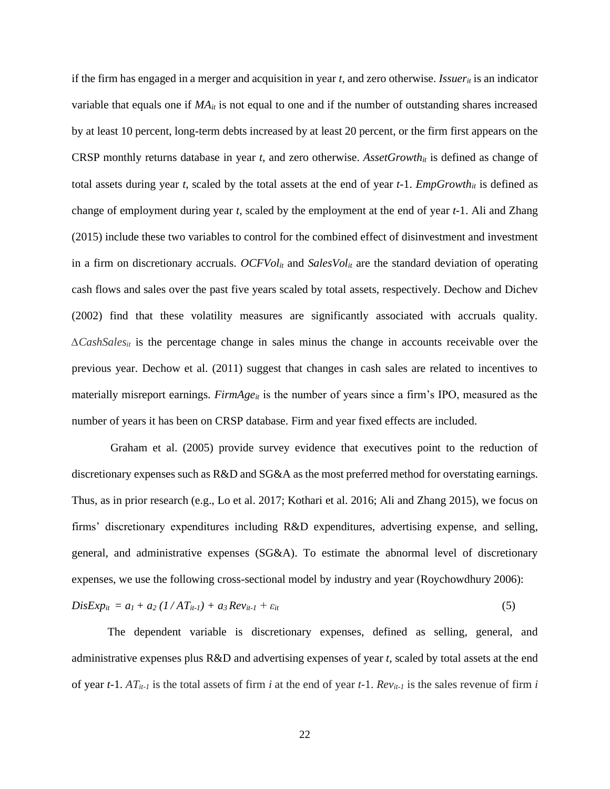if the firm has engaged in a merger and acquisition in year *t*, and zero otherwise. *Issuerit* is an indicator variable that equals one if  $MA<sub>it</sub>$  is not equal to one and if the number of outstanding shares increased by at least 10 percent, long-term debts increased by at least 20 percent, or the firm first appears on the CRSP monthly returns database in year  $t$ , and zero otherwise. *AssetGrowth<sub>it</sub>* is defined as change of total assets during year *t*, scaled by the total assets at the end of year  $t-1$ . *EmpGrowth<sub>it</sub>* is defined as change of employment during year *t*, scaled by the employment at the end of year *t*-1. Ali and Zhang (2015) include these two variables to control for the combined effect of disinvestment and investment in a firm on discretionary accruals. *OCFVolit* and *SalesVolit* are the standard deviation of operating cash flows and sales over the past five years scaled by total assets, respectively. Dechow and Dichev (2002) find that these volatility measures are significantly associated with accruals quality. *∆CashSalesit* is the percentage change in sales minus the change in accounts receivable over the previous year. Dechow et al. (2011) suggest that changes in cash sales are related to incentives to materially misreport earnings. *FirmAge<sub>it</sub>* is the number of years since a firm's IPO, measured as the number of years it has been on CRSP database. Firm and year fixed effects are included.

Graham et al. (2005) provide survey evidence that executives point to the reduction of discretionary expenses such as R&D and SG&A as the most preferred method for overstating earnings. Thus, as in prior research (e.g., Lo et al. 2017; Kothari et al. 2016; Ali and Zhang 2015), we focus on firms' discretionary expenditures including R&D expenditures, advertising expense, and selling, general, and administrative expenses (SG&A). To estimate the abnormal level of discretionary expenses, we use the following cross-sectional model by industry and year (Roychowdhury 2006):

$$
DisExp_{it} = a_1 + a_2 (1/AT_{it-1}) + a_3 Rev_{it-1} + \varepsilon_{it}
$$
\n
$$
(5)
$$

The dependent variable is discretionary expenses, defined as selling, general, and administrative expenses plus R&D and advertising expenses of year *t*, scaled by total assets at the end of year *t*-1.  $AT_{it-1}$  is the total assets of firm *i* at the end of year *t*-1.  $Rev_{it-1}$  is the sales revenue of firm *i*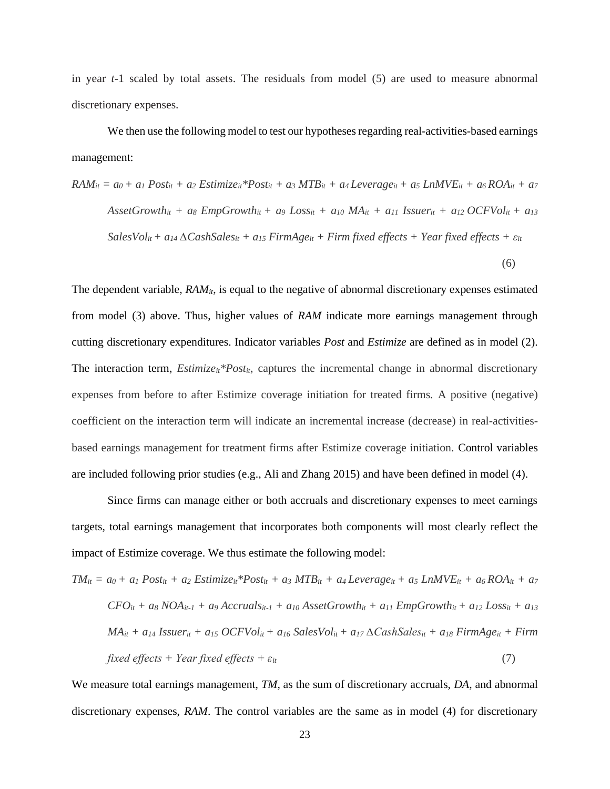in year *t-*1 scaled by total assets. The residuals from model (5) are used to measure abnormal discretionary expenses.

We then use the following model to test our hypotheses regarding real-activities-based earnings management:

$$
RAM_{it} = a_0 + a_1 Post_{it} + a_2 Estimize_{it} * Post_{it} + a_3 MTB_{it} + a_4 Leverage_{it} + a_5 LMWE_{it} + a_6 ROA_{it} + a_7
$$
\n
$$
AssetGrowth_{it} + a_8 EmpGrowth_{it} + a_9 Loss_{it} + a_{10} MA_{it} + a_{11} Issuer_{it} + a_{12} OCFVol_{it} + a_{13}
$$
\n
$$
SalesVol_{it} + a_{14} \Delta Cash Sales_{it} + a_{15} FirmAge_{it} + Firm fixed effects + Year fixed effects + \varepsilon_{it}
$$
\n(6)

The dependent variable,  $RAM_{it}$ , is equal to the negative of abnormal discretionary expenses estimated from model (3) above. Thus, higher values of *RAM* indicate more earnings management through cutting discretionary expenditures. Indicator variables *Post* and *Estimize* are defined as in model (2). The interaction term, *Estimize<sub>it</sub>*\**Post<sub>it</sub>*, captures the incremental change in abnormal discretionary expenses from before to after Estimize coverage initiation for treated firms. A positive (negative) coefficient on the interaction term will indicate an incremental increase (decrease) in real-activitiesbased earnings management for treatment firms after Estimize coverage initiation. Control variables are included following prior studies (e.g., Ali and Zhang 2015) and have been defined in model (4).

Since firms can manage either or both accruals and discretionary expenses to meet earnings targets, total earnings management that incorporates both components will most clearly reflect the impact of Estimize coverage. We thus estimate the following model:

$$
TM_{it} = a_0 + a_1 \text{ Post}_{it} + a_2 \text{ Estimize}_{it} * \text{Post}_{it} + a_3 \text{ MTB}_{it} + a_4 \text{Leverage}_{it} + a_5 \text{LnMVE}_{it} + a_6 \text{ROA}_{it} + a_7
$$
\n
$$
CFO_{it} + a_8 \text{ NOA}_{it-1} + a_9 \text{Accruals}_{it-1} + a_{10} \text{ AssetGrowth}_{it} + a_{11} \text{ EmpGrowth}_{it} + a_{12} \text{ Loss}_{it} + a_{13}
$$
\n
$$
\text{MA}_{it} + a_{14} \text{ Issuer}_{it} + a_{15} \text{ OCFVol}_{it} + a_{16} \text{ SalesVol}_{it} + a_{17} \text{ACashSales}_{it} + a_{18} \text{ FirmAge}_{it} + \text{Firm}
$$
\n
$$
\text{fixed effects} + \text{Year fixed effects} + \varepsilon_{it} \tag{7}
$$

We measure total earnings management, *TM*, as the sum of discretionary accruals, *DA*, and abnormal discretionary expenses, *RAM*. The control variables are the same as in model (4) for discretionary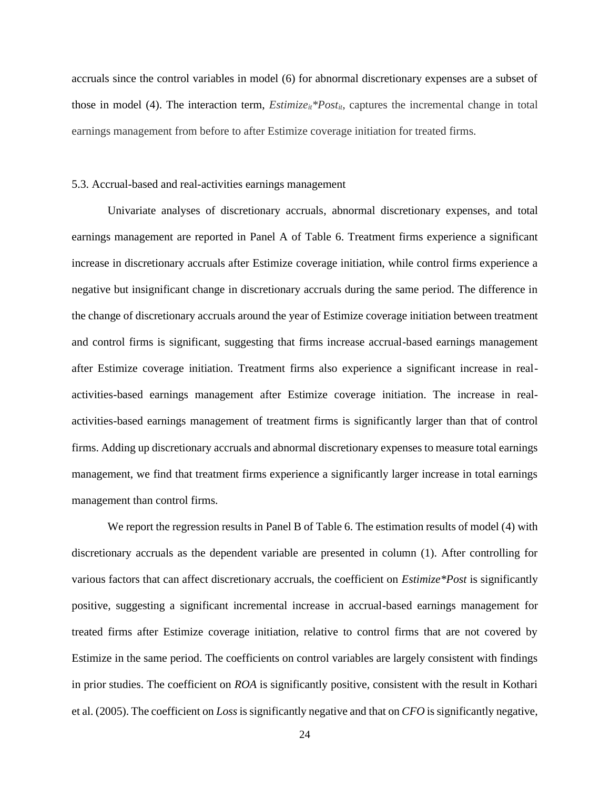accruals since the control variables in model (6) for abnormal discretionary expenses are a subset of those in model (4). The interaction term, *Estimize<sub>it</sub>*\**Post<sub>it</sub>*, captures the incremental change in total earnings management from before to after Estimize coverage initiation for treated firms.

#### 5.3. Accrual-based and real-activities earnings management

Univariate analyses of discretionary accruals, abnormal discretionary expenses, and total earnings management are reported in Panel A of Table 6. Treatment firms experience a significant increase in discretionary accruals after Estimize coverage initiation, while control firms experience a negative but insignificant change in discretionary accruals during the same period. The difference in the change of discretionary accruals around the year of Estimize coverage initiation between treatment and control firms is significant, suggesting that firms increase accrual-based earnings management after Estimize coverage initiation. Treatment firms also experience a significant increase in realactivities-based earnings management after Estimize coverage initiation. The increase in realactivities-based earnings management of treatment firms is significantly larger than that of control firms. Adding up discretionary accruals and abnormal discretionary expenses to measure total earnings management, we find that treatment firms experience a significantly larger increase in total earnings management than control firms.

We report the regression results in Panel B of Table 6. The estimation results of model (4) with discretionary accruals as the dependent variable are presented in column (1). After controlling for various factors that can affect discretionary accruals, the coefficient on *Estimize\*Post* is significantly positive, suggesting a significant incremental increase in accrual-based earnings management for treated firms after Estimize coverage initiation, relative to control firms that are not covered by Estimize in the same period. The coefficients on control variables are largely consistent with findings in prior studies. The coefficient on *ROA* is significantly positive, consistent with the result in Kothari et al. (2005). The coefficient on *Loss* is significantly negative and that on *CFO* is significantly negative,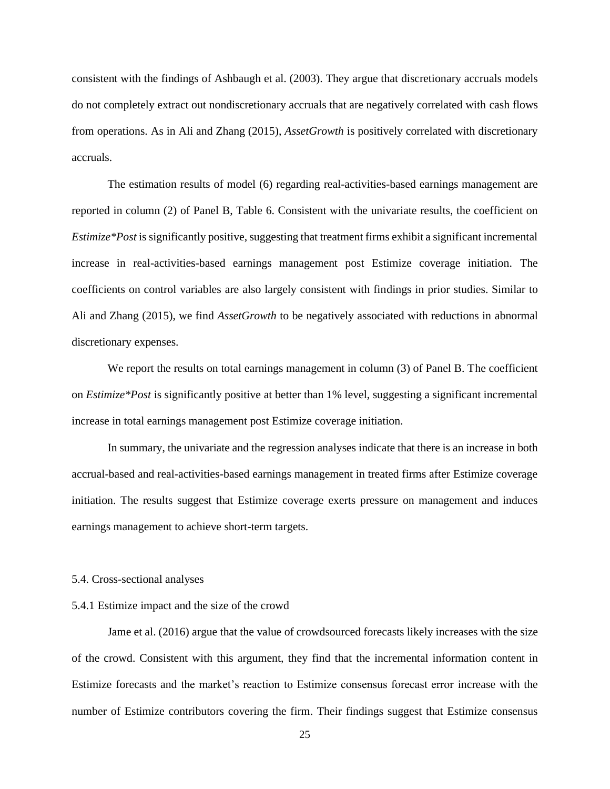consistent with the findings of Ashbaugh et al. (2003). They argue that discretionary accruals models do not completely extract out nondiscretionary accruals that are negatively correlated with cash flows from operations. As in Ali and Zhang (2015), *AssetGrowth* is positively correlated with discretionary accruals.

The estimation results of model (6) regarding real-activities-based earnings management are reported in column (2) of Panel B, Table 6. Consistent with the univariate results, the coefficient on *Estimize\*Post* is significantly positive, suggesting that treatment firms exhibit a significant incremental increase in real-activities-based earnings management post Estimize coverage initiation. The coefficients on control variables are also largely consistent with findings in prior studies. Similar to Ali and Zhang (2015), we find *AssetGrowth* to be negatively associated with reductions in abnormal discretionary expenses.

We report the results on total earnings management in column (3) of Panel B. The coefficient on *Estimize\*Post* is significantly positive at better than 1% level, suggesting a significant incremental increase in total earnings management post Estimize coverage initiation.

In summary, the univariate and the regression analyses indicate that there is an increase in both accrual-based and real-activities-based earnings management in treated firms after Estimize coverage initiation. The results suggest that Estimize coverage exerts pressure on management and induces earnings management to achieve short-term targets.

#### 5.4. Cross-sectional analyses

#### 5.4.1 Estimize impact and the size of the crowd

Jame et al. (2016) argue that the value of crowdsourced forecasts likely increases with the size of the crowd. Consistent with this argument, they find that the incremental information content in Estimize forecasts and the market's reaction to Estimize consensus forecast error increase with the number of Estimize contributors covering the firm. Their findings suggest that Estimize consensus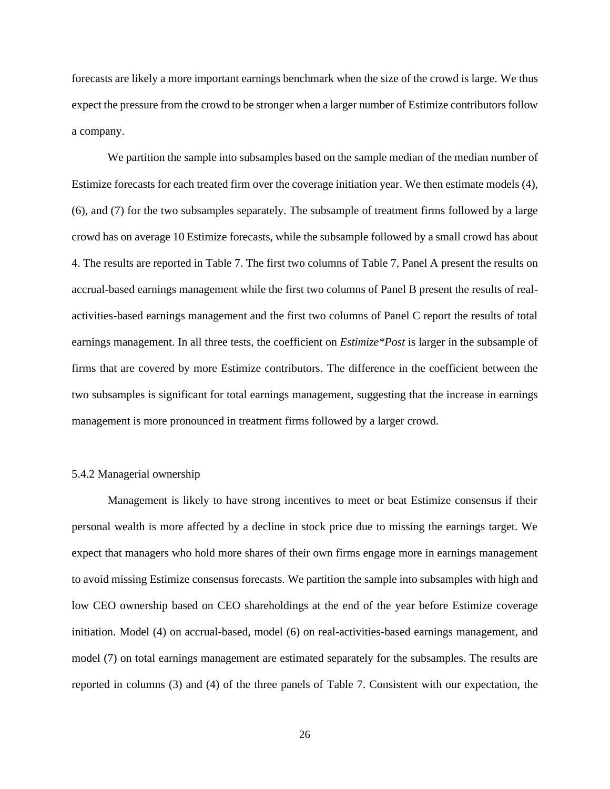forecasts are likely a more important earnings benchmark when the size of the crowd is large. We thus expect the pressure from the crowd to be stronger when a larger number of Estimize contributors follow a company.

We partition the sample into subsamples based on the sample median of the median number of Estimize forecasts for each treated firm over the coverage initiation year. We then estimate models (4), (6), and (7) for the two subsamples separately. The subsample of treatment firms followed by a large crowd has on average 10 Estimize forecasts, while the subsample followed by a small crowd has about 4. The results are reported in Table 7. The first two columns of Table 7, Panel A present the results on accrual-based earnings management while the first two columns of Panel B present the results of realactivities-based earnings management and the first two columns of Panel C report the results of total earnings management. In all three tests, the coefficient on *Estimize\*Post* is larger in the subsample of firms that are covered by more Estimize contributors. The difference in the coefficient between the two subsamples is significant for total earnings management, suggesting that the increase in earnings management is more pronounced in treatment firms followed by a larger crowd.

### 5.4.2 Managerial ownership

Management is likely to have strong incentives to meet or beat Estimize consensus if their personal wealth is more affected by a decline in stock price due to missing the earnings target. We expect that managers who hold more shares of their own firms engage more in earnings management to avoid missing Estimize consensus forecasts. We partition the sample into subsamples with high and low CEO ownership based on CEO shareholdings at the end of the year before Estimize coverage initiation. Model (4) on accrual-based, model (6) on real-activities-based earnings management, and model (7) on total earnings management are estimated separately for the subsamples. The results are reported in columns (3) and (4) of the three panels of Table 7. Consistent with our expectation, the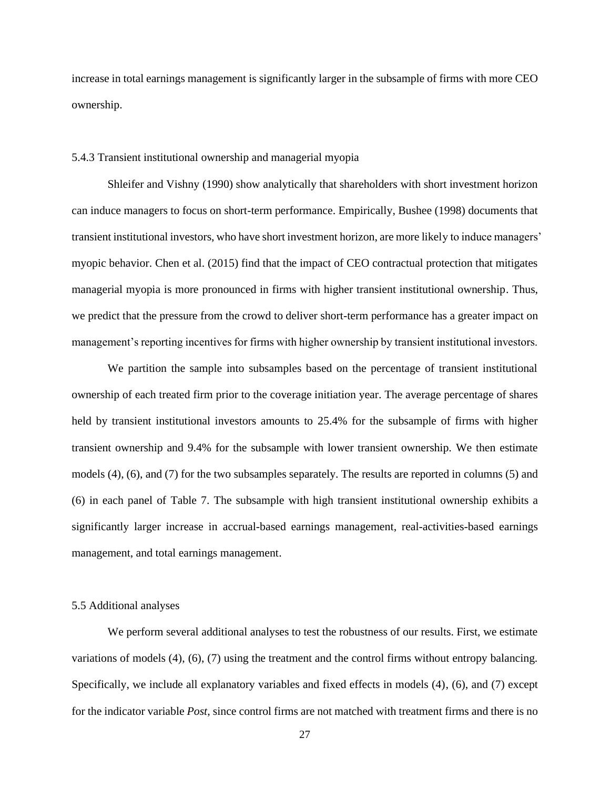increase in total earnings management is significantly larger in the subsample of firms with more CEO ownership.

#### 5.4.3 Transient institutional ownership and managerial myopia

Shleifer and Vishny (1990) show analytically that shareholders with short investment horizon can induce managers to focus on short-term performance. Empirically, Bushee (1998) documents that transient institutional investors, who have short investment horizon, are more likely to induce managers' myopic behavior. Chen et al. (2015) find that the impact of CEO contractual protection that mitigates managerial myopia is more pronounced in firms with higher transient institutional ownership. Thus, we predict that the pressure from the crowd to deliver short-term performance has a greater impact on management's reporting incentives for firms with higher ownership by transient institutional investors.

We partition the sample into subsamples based on the percentage of transient institutional ownership of each treated firm prior to the coverage initiation year. The average percentage of shares held by transient institutional investors amounts to 25.4% for the subsample of firms with higher transient ownership and 9.4% for the subsample with lower transient ownership. We then estimate models (4), (6), and (7) for the two subsamples separately. The results are reported in columns (5) and (6) in each panel of Table 7. The subsample with high transient institutional ownership exhibits a significantly larger increase in accrual-based earnings management, real-activities-based earnings management, and total earnings management.

### 5.5 Additional analyses

We perform several additional analyses to test the robustness of our results. First, we estimate variations of models (4), (6), (7) using the treatment and the control firms without entropy balancing. Specifically, we include all explanatory variables and fixed effects in models (4), (6), and (7) except for the indicator variable *Post*, since control firms are not matched with treatment firms and there is no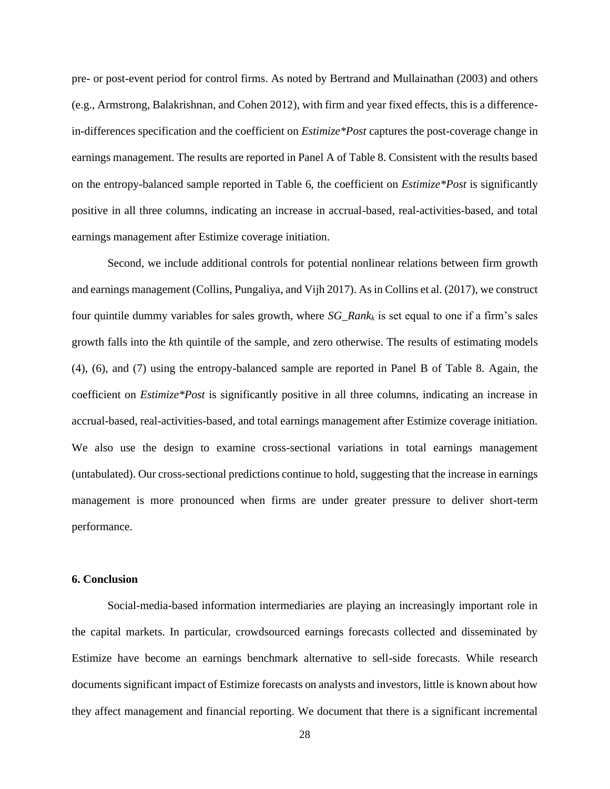pre- or post-event period for control firms. As noted by Bertrand and Mullainathan (2003) and others (e.g., Armstrong, Balakrishnan, and Cohen 2012), with firm and year fixed effects, this is a differencein-differences specification and the coefficient on *Estimize\*Post* captures the post-coverage change in earnings management. The results are reported in Panel A of Table 8. Consistent with the results based on the entropy-balanced sample reported in Table 6, the coefficient on *Estimize\*Post* is significantly positive in all three columns, indicating an increase in accrual-based, real-activities-based, and total earnings management after Estimize coverage initiation.

Second, we include additional controls for potential nonlinear relations between firm growth and earnings management (Collins, Pungaliya, and Vijh 2017). As in Collins et al. (2017), we construct four quintile dummy variables for sales growth, where *SG\_Rank<sup>k</sup>* is set equal to one if a firm's sales growth falls into the *k*th quintile of the sample, and zero otherwise. The results of estimating models (4), (6), and (7) using the entropy-balanced sample are reported in Panel B of Table 8. Again, the coefficient on *Estimize\*Post* is significantly positive in all three columns, indicating an increase in accrual-based, real-activities-based, and total earnings management after Estimize coverage initiation. We also use the design to examine cross-sectional variations in total earnings management (untabulated). Our cross-sectional predictions continue to hold, suggesting that the increase in earnings management is more pronounced when firms are under greater pressure to deliver short-term performance.

#### **6. Conclusion**

Social-media-based information intermediaries are playing an increasingly important role in the capital markets. In particular, crowdsourced earnings forecasts collected and disseminated by Estimize have become an earnings benchmark alternative to sell-side forecasts. While research documents significant impact of Estimize forecasts on analysts and investors, little is known about how they affect management and financial reporting. We document that there is a significant incremental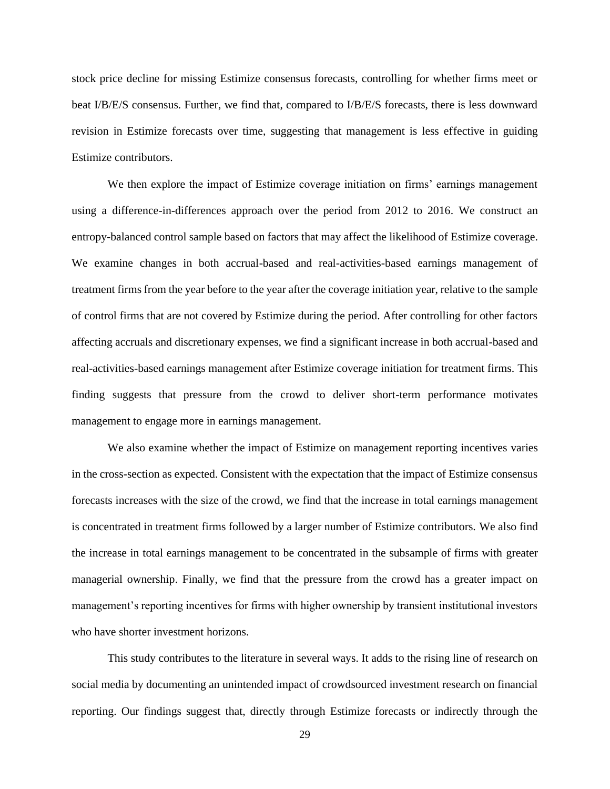stock price decline for missing Estimize consensus forecasts, controlling for whether firms meet or beat I/B/E/S consensus. Further, we find that, compared to I/B/E/S forecasts, there is less downward revision in Estimize forecasts over time, suggesting that management is less effective in guiding Estimize contributors.

We then explore the impact of Estimize coverage initiation on firms' earnings management using a difference-in-differences approach over the period from 2012 to 2016. We construct an entropy-balanced control sample based on factors that may affect the likelihood of Estimize coverage. We examine changes in both accrual-based and real-activities-based earnings management of treatment firms from the year before to the year after the coverage initiation year, relative to the sample of control firms that are not covered by Estimize during the period. After controlling for other factors affecting accruals and discretionary expenses, we find a significant increase in both accrual-based and real-activities-based earnings management after Estimize coverage initiation for treatment firms. This finding suggests that pressure from the crowd to deliver short-term performance motivates management to engage more in earnings management.

We also examine whether the impact of Estimize on management reporting incentives varies in the cross-section as expected. Consistent with the expectation that the impact of Estimize consensus forecasts increases with the size of the crowd, we find that the increase in total earnings management is concentrated in treatment firms followed by a larger number of Estimize contributors. We also find the increase in total earnings management to be concentrated in the subsample of firms with greater managerial ownership. Finally, we find that the pressure from the crowd has a greater impact on management's reporting incentives for firms with higher ownership by transient institutional investors who have shorter investment horizons.

This study contributes to the literature in several ways. It adds to the rising line of research on social media by documenting an unintended impact of crowdsourced investment research on financial reporting. Our findings suggest that, directly through Estimize forecasts or indirectly through the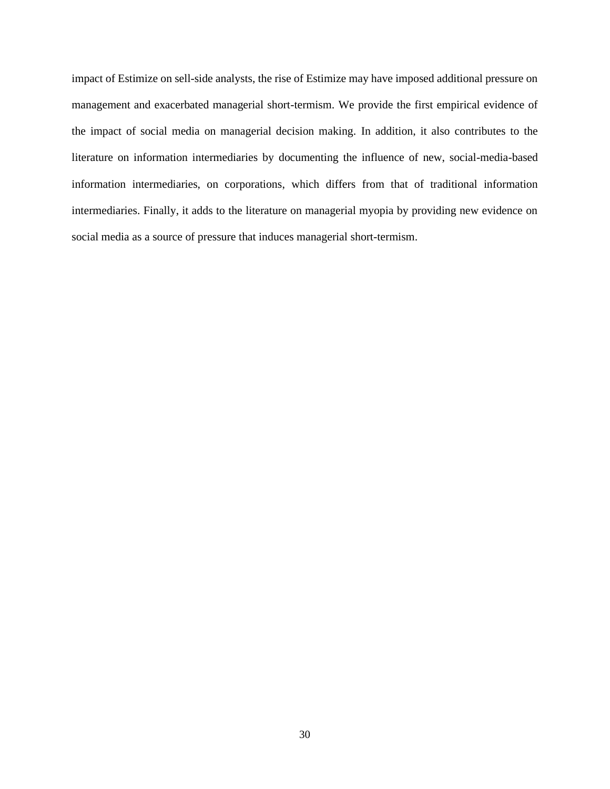impact of Estimize on sell-side analysts, the rise of Estimize may have imposed additional pressure on management and exacerbated managerial short-termism. We provide the first empirical evidence of the impact of social media on managerial decision making. In addition, it also contributes to the literature on information intermediaries by documenting the influence of new, social-media-based information intermediaries, on corporations, which differs from that of traditional information intermediaries. Finally, it adds to the literature on managerial myopia by providing new evidence on social media as a source of pressure that induces managerial short-termism.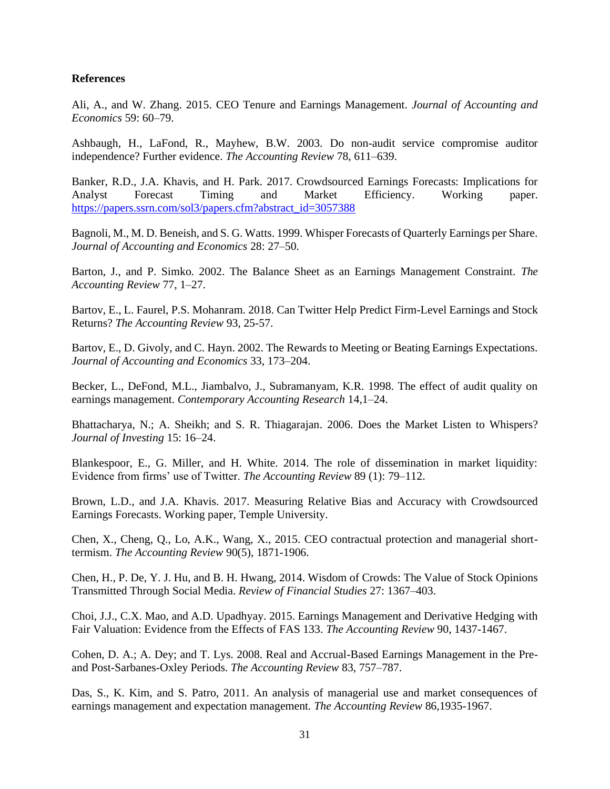# **References**

Ali, A., and W. Zhang. 2015. CEO Tenure and Earnings Management. *Journal of Accounting and Economics* 59: 60–79.

Ashbaugh, H., LaFond, R., Mayhew, B.W. 2003. Do non-audit service compromise auditor independence? Further evidence. *The Accounting Review* 78, 611–639.

Banker, R.D., J.A. Khavis, and H. Park. 2017. Crowdsourced Earnings Forecasts: Implications for Analyst Forecast Timing and Market Efficiency. Working paper. [https://papers.ssrn.com/sol3/papers.cfm?abstract\\_id=3057388](https://papers.ssrn.com/sol3/papers.cfm?abstract_id=3057388)

Bagnoli, M., M. D. Beneish, and S. G. Watts. 1999. Whisper Forecasts of Quarterly Earnings per Share. *Journal of Accounting and Economics* 28: 27–50.

Barton, J., and P. Simko. 2002. The Balance Sheet as an Earnings Management Constraint. *The Accounting Review* 77, 1–27.

Bartov, E., L. Faurel, P.S. Mohanram. 2018. Can Twitter Help Predict Firm-Level Earnings and Stock Returns? *The Accounting Review* 93, 25-57.

Bartov, E., D. Givoly, and C. Hayn. 2002. The Rewards to Meeting or Beating Earnings Expectations. *Journal of Accounting and Economics* 33, 173–204.

Becker, L., DeFond, M.L., Jiambalvo, J., Subramanyam, K.R. 1998. The effect of audit quality on earnings management. *Contemporary Accounting Research* 14,1–24.

Bhattacharya, N.; A. Sheikh; and S. R. Thiagarajan. 2006. Does the Market Listen to Whispers? *Journal of Investing* 15: 16–24.

Blankespoor, E., G. Miller, and H. White. 2014. The role of dissemination in market liquidity: Evidence from firms' use of Twitter. *The Accounting Review* 89 (1): 79–112.

Brown, L.D., and J.A. Khavis. 2017. Measuring Relative Bias and Accuracy with Crowdsourced Earnings Forecasts. Working paper, Temple University.

Chen, X., Cheng, Q., Lo, A.K., Wang, X., 2015. CEO contractual protection and managerial shorttermism. *The Accounting Review* 90(5), 1871-1906.

Chen, H., P. De, Y. J. Hu, and B. H. Hwang, 2014. Wisdom of Crowds: The Value of Stock Opinions Transmitted Through Social Media. *Review of Financial Studies* 27: 1367–403.

Choi, J.J., C.X. Mao, and A.D. Upadhyay. 2015. Earnings Management and Derivative Hedging with Fair Valuation: Evidence from the Effects of FAS 133. *The Accounting Review* 90, 1437-1467.

Cohen, D. A.; A. Dey; and T. Lys. 2008. Real and Accrual-Based Earnings Management in the Preand Post-Sarbanes-Oxley Periods. *The Accounting Review* 83, 757–787.

Das, S., K. Kim, and S. Patro, 2011. An analysis of managerial use and market consequences of earnings management and expectation management. *The Accounting Review* 86,1935-1967.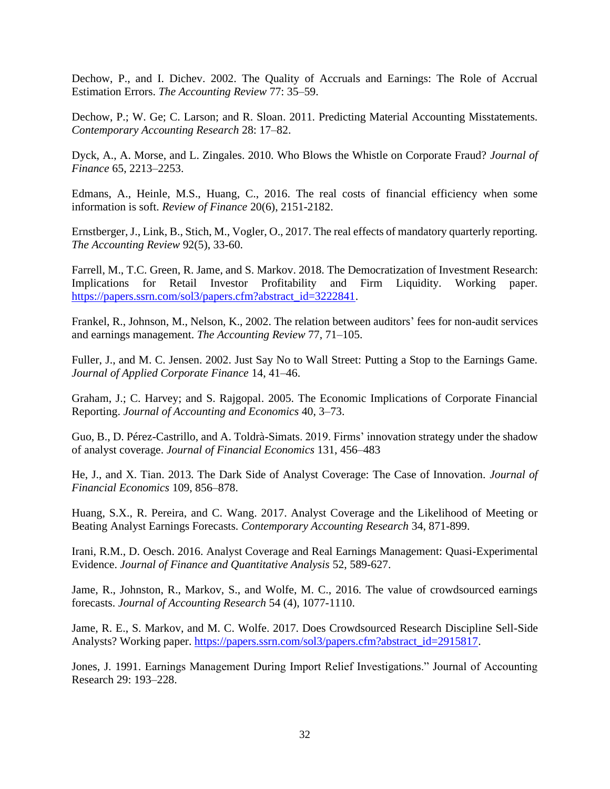Dechow, P., and I. Dichev. 2002. The Quality of Accruals and Earnings: The Role of Accrual Estimation Errors. *The Accounting Review* 77: 35–59.

Dechow, P.; W. Ge; C. Larson; and R. Sloan. 2011. Predicting Material Accounting Misstatements. *Contemporary Accounting Research* 28: 17–82.

Dyck, A., A. Morse, and L. Zingales. 2010. Who Blows the Whistle on Corporate Fraud? *Journal of Finance* 65, 2213–2253.

Edmans, A., Heinle, M.S., Huang, C., 2016. The real costs of financial efficiency when some information is soft. *Review of Finance* 20(6), 2151-2182.

Ernstberger, J., Link, B., Stich, M., Vogler, O., 2017. The real effects of mandatory quarterly reporting. *The Accounting Review* 92(5), 33-60.

Farrell, M., T.C. Green, R. Jame, and S. Markov. 2018. The Democratization of Investment Research: Implications for Retail Investor Profitability and Firm Liquidity. Working paper. [https://papers.ssrn.com/sol3/papers.cfm?abstract\\_id=3222841.](https://papers.ssrn.com/sol3/papers.cfm?abstract_id=3222841)

Frankel, R., Johnson, M., Nelson, K., 2002. The relation between auditors' fees for non-audit services and earnings management. *The Accounting Review* 77, 71–105.

Fuller, J., and M. C. Jensen. 2002. Just Say No to Wall Street: Putting a Stop to the Earnings Game. *Journal of Applied Corporate Finance* 14, 41–46.

Graham, J.; C. Harvey; and S. Rajgopal. 2005. The Economic Implications of Corporate Financial Reporting. *Journal of Accounting and Economics* 40, 3–73.

Guo, B., D. Pérez-Castrillo, and A. Toldrà-Simats. 2019. Firms' innovation strategy under the shadow of analyst coverage. *Journal of Financial Economics* 131, 456–483

He, J., and X. Tian. 2013. The Dark Side of Analyst Coverage: The Case of Innovation. *Journal of Financial Economics* 109, 856–878.

Huang, S.X., R. Pereira, and C. Wang. 2017. Analyst Coverage and the Likelihood of Meeting or Beating Analyst Earnings Forecasts. *Contemporary Accounting Research* 34, 871-899.

Irani, R.M., D. Oesch. 2016. Analyst Coverage and Real Earnings Management: Quasi-Experimental Evidence. *Journal of Finance and Quantitative Analysis* 52, 589-627.

Jame, R., Johnston, R., Markov, S., and Wolfe, M. C., 2016. The value of crowdsourced earnings forecasts. *Journal of Accounting Research* 54 (4), 1077-1110.

Jame, R. E., S. Markov, and M. C. Wolfe. 2017. Does Crowdsourced Research Discipline Sell-Side Analysts? Working paper. [https://papers.ssrn.com/sol3/papers.cfm?abstract\\_id=2915817.](https://papers.ssrn.com/sol3/papers.cfm?abstract_id=2915817)

Jones, J. 1991. Earnings Management During Import Relief Investigations." Journal of Accounting Research 29: 193–228.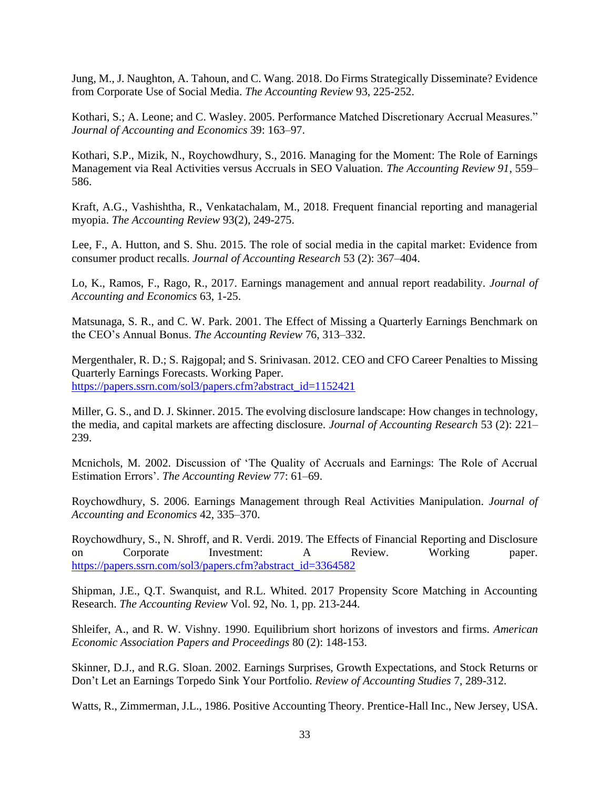Jung, M., J. Naughton, A. Tahoun, and C. Wang. 2018. Do Firms Strategically Disseminate? Evidence from Corporate Use of Social Media. *The Accounting Review* 93, 225-252.

Kothari, S.; A. Leone; and C. Wasley. 2005. Performance Matched Discretionary Accrual Measures." *Journal of Accounting and Economics* 39: 163–97.

Kothari, S.P., Mizik, N., Roychowdhury, S., 2016. Managing for the Moment: The Role of Earnings Management via Real Activities versus Accruals in SEO Valuation. *The Accounting Review 91*, 559– 586.

Kraft, A.G., Vashishtha, R., Venkatachalam, M., 2018. Frequent financial reporting and managerial myopia. *The Accounting Review* 93(2), 249-275.

Lee, F., A. Hutton, and S. Shu. 2015. The role of social media in the capital market: Evidence from consumer product recalls. *Journal of Accounting Research* 53 (2): 367–404.

Lo, K., Ramos, F., Rago, R., 2017. Earnings management and annual report readability. *Journal of Accounting and Economics* 63, 1-25.

Matsunaga, S. R., and C. W. Park. 2001. The Effect of Missing a Quarterly Earnings Benchmark on the CEO's Annual Bonus. *The Accounting Review* 76, 313–332.

Mergenthaler, R. D.; S. Rajgopal; and S. Srinivasan. 2012. CEO and CFO Career Penalties to Missing Quarterly Earnings Forecasts. Working Paper. [https://papers.ssrn.com/sol3/papers.cfm?abstract\\_id=1152421](https://papers.ssrn.com/sol3/papers.cfm?abstract_id=1152421)

Miller, G. S., and D. J. Skinner. 2015. The evolving disclosure landscape: How changes in technology, the media, and capital markets are affecting disclosure. *Journal of Accounting Research* 53 (2): 221– 239.

Mcnichols, M. 2002. Discussion of 'The Quality of Accruals and Earnings: The Role of Accrual Estimation Errors'. *The Accounting Review* 77: 61–69.

Roychowdhury, S. 2006. Earnings Management through Real Activities Manipulation. *Journal of Accounting and Economics* 42, 335–370.

Roychowdhury, S., N. Shroff, and R. Verdi. 2019. The Effects of Financial Reporting and Disclosure on Corporate Investment: A Review. Working paper. [https://papers.ssrn.com/sol3/papers.cfm?abstract\\_id=3364582](https://papers.ssrn.com/sol3/papers.cfm?abstract_id=3364582)

Shipman, J.E., Q.T. Swanquist, and R.L. Whited. 2017 Propensity Score Matching in Accounting Research. *The Accounting Review* Vol. 92, No. 1, pp. 213-244.

Shleifer, A., and R. W. Vishny. 1990. Equilibrium short horizons of investors and firms. *American Economic Association Papers and Proceedings* 80 (2): 148-153.

Skinner, D.J., and R.G. Sloan. 2002. Earnings Surprises, Growth Expectations, and Stock Returns or Don't Let an Earnings Torpedo Sink Your Portfolio. *Review of Accounting Studies* 7, 289-312.

Watts, R., Zimmerman, J.L., 1986. Positive Accounting Theory. Prentice-Hall Inc., New Jersey, USA.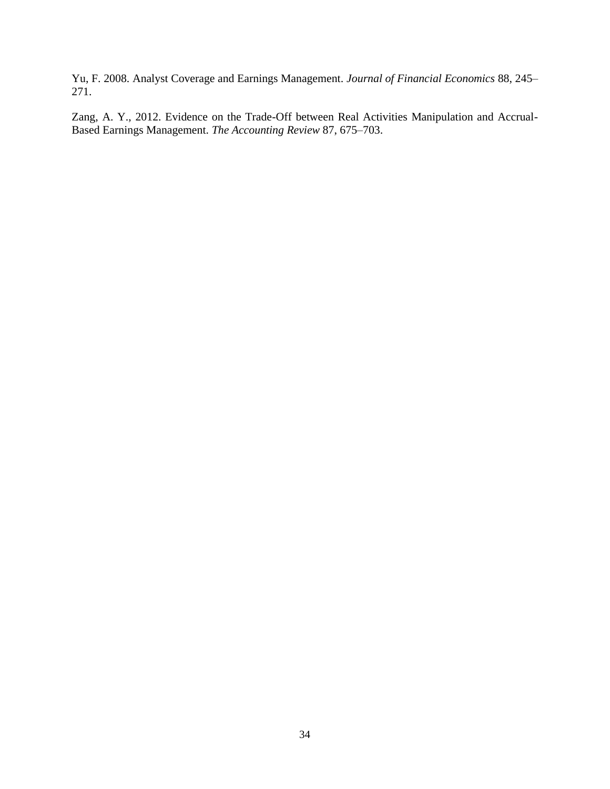Yu, F. 2008. Analyst Coverage and Earnings Management. *Journal of Financial Economics* 88, 245– 271.

Zang, A. Y., 2012. Evidence on the Trade-Off between Real Activities Manipulation and Accrual-Based Earnings Management. *The Accounting Review* 87, 675–703.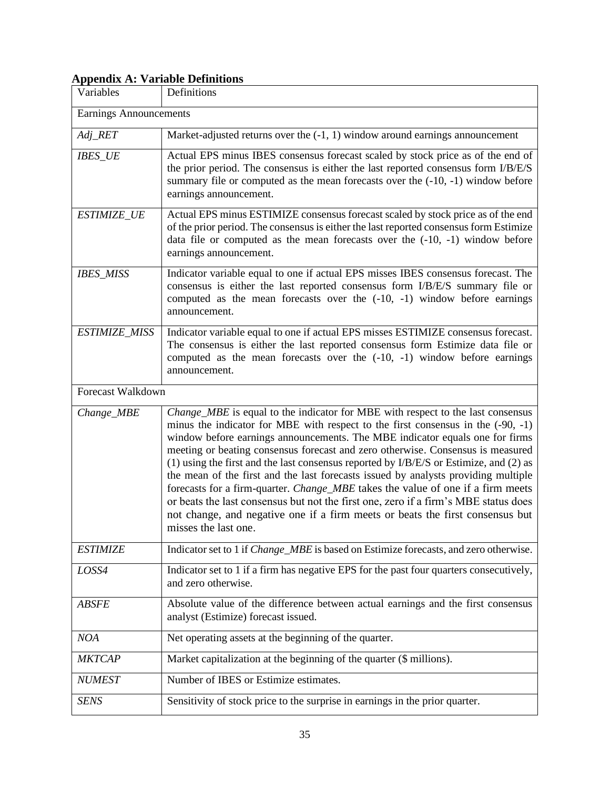# **Appendix A: Variable Definitions**

| Variables                     | Definitions                                                                                                                                                                                                                                                                                                                                                                                                                                                                                                                                                                                                                                                                                                                                                                                                     |
|-------------------------------|-----------------------------------------------------------------------------------------------------------------------------------------------------------------------------------------------------------------------------------------------------------------------------------------------------------------------------------------------------------------------------------------------------------------------------------------------------------------------------------------------------------------------------------------------------------------------------------------------------------------------------------------------------------------------------------------------------------------------------------------------------------------------------------------------------------------|
| <b>Earnings Announcements</b> |                                                                                                                                                                                                                                                                                                                                                                                                                                                                                                                                                                                                                                                                                                                                                                                                                 |
| Adj_RET                       | Market-adjusted returns over the $(-1, 1)$ window around earnings announcement                                                                                                                                                                                                                                                                                                                                                                                                                                                                                                                                                                                                                                                                                                                                  |
| <b>IBES_UE</b>                | Actual EPS minus IBES consensus forecast scaled by stock price as of the end of<br>the prior period. The consensus is either the last reported consensus form I/B/E/S<br>summary file or computed as the mean forecasts over the $(-10, -1)$ window before<br>earnings announcement.                                                                                                                                                                                                                                                                                                                                                                                                                                                                                                                            |
| ESTIMIZE_UE                   | Actual EPS minus ESTIMIZE consensus forecast scaled by stock price as of the end<br>of the prior period. The consensus is either the last reported consensus form Estimize<br>data file or computed as the mean forecasts over the $(-10, -1)$ window before<br>earnings announcement.                                                                                                                                                                                                                                                                                                                                                                                                                                                                                                                          |
| <b>IBES_MISS</b>              | Indicator variable equal to one if actual EPS misses IBES consensus forecast. The<br>consensus is either the last reported consensus form I/B/E/S summary file or<br>computed as the mean forecasts over the $(-10, -1)$ window before earnings<br>announcement.                                                                                                                                                                                                                                                                                                                                                                                                                                                                                                                                                |
| ESTIMIZE_MISS                 | Indicator variable equal to one if actual EPS misses ESTIMIZE consensus forecast.<br>The consensus is either the last reported consensus form Estimize data file or<br>computed as the mean forecasts over the $(-10, -1)$ window before earnings<br>announcement.                                                                                                                                                                                                                                                                                                                                                                                                                                                                                                                                              |
| Forecast Walkdown             |                                                                                                                                                                                                                                                                                                                                                                                                                                                                                                                                                                                                                                                                                                                                                                                                                 |
| Change_MBE                    | Change_MBE is equal to the indicator for MBE with respect to the last consensus<br>minus the indicator for MBE with respect to the first consensus in the $(-90, -1)$<br>window before earnings announcements. The MBE indicator equals one for firms<br>meeting or beating consensus forecast and zero otherwise. Consensus is measured<br>$(1)$ using the first and the last consensus reported by I/B/E/S or Estimize, and $(2)$ as<br>the mean of the first and the last forecasts issued by analysts providing multiple<br>forecasts for a firm-quarter. Change_MBE takes the value of one if a firm meets<br>or beats the last consensus but not the first one, zero if a firm's MBE status does<br>not change, and negative one if a firm meets or beats the first consensus but<br>misses the last one. |
| <b>ESTIMIZE</b>               | Indicator set to 1 if <i>Change_MBE</i> is based on Estimize forecasts, and zero otherwise.                                                                                                                                                                                                                                                                                                                                                                                                                                                                                                                                                                                                                                                                                                                     |
| LOSS4                         | Indicator set to 1 if a firm has negative EPS for the past four quarters consecutively,<br>and zero otherwise.                                                                                                                                                                                                                                                                                                                                                                                                                                                                                                                                                                                                                                                                                                  |
| <b>ABSFE</b>                  | Absolute value of the difference between actual earnings and the first consensus<br>analyst (Estimize) forecast issued.                                                                                                                                                                                                                                                                                                                                                                                                                                                                                                                                                                                                                                                                                         |
| <b>NOA</b>                    | Net operating assets at the beginning of the quarter.                                                                                                                                                                                                                                                                                                                                                                                                                                                                                                                                                                                                                                                                                                                                                           |
| <b>MKTCAP</b>                 | Market capitalization at the beginning of the quarter (\$ millions).                                                                                                                                                                                                                                                                                                                                                                                                                                                                                                                                                                                                                                                                                                                                            |
| <b>NUMEST</b>                 | Number of IBES or Estimize estimates.                                                                                                                                                                                                                                                                                                                                                                                                                                                                                                                                                                                                                                                                                                                                                                           |
| <b>SENS</b>                   | Sensitivity of stock price to the surprise in earnings in the prior quarter.                                                                                                                                                                                                                                                                                                                                                                                                                                                                                                                                                                                                                                                                                                                                    |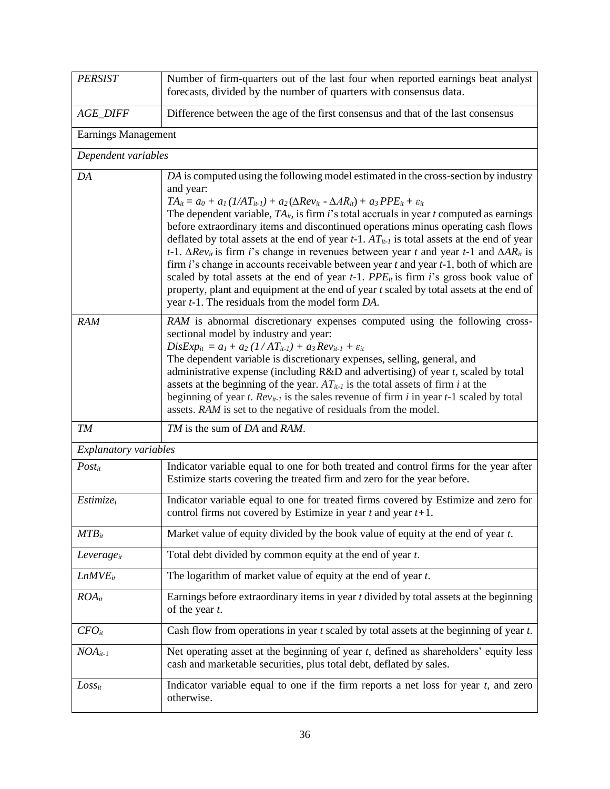| <b>PERSIST</b>         | Number of firm-quarters out of the last four when reported earnings beat analyst<br>forecasts, divided by the number of quarters with consensus data.                                                                                                                                                                                                                                                                                                                                                                                                                                                                                                                                                                                                                                                                                                                                                                                                                                               |
|------------------------|-----------------------------------------------------------------------------------------------------------------------------------------------------------------------------------------------------------------------------------------------------------------------------------------------------------------------------------------------------------------------------------------------------------------------------------------------------------------------------------------------------------------------------------------------------------------------------------------------------------------------------------------------------------------------------------------------------------------------------------------------------------------------------------------------------------------------------------------------------------------------------------------------------------------------------------------------------------------------------------------------------|
| <b>AGE_DIFF</b>        | Difference between the age of the first consensus and that of the last consensus                                                                                                                                                                                                                                                                                                                                                                                                                                                                                                                                                                                                                                                                                                                                                                                                                                                                                                                    |
| Earnings Management    |                                                                                                                                                                                                                                                                                                                                                                                                                                                                                                                                                                                                                                                                                                                                                                                                                                                                                                                                                                                                     |
| Dependent variables    |                                                                                                                                                                                                                                                                                                                                                                                                                                                                                                                                                                                                                                                                                                                                                                                                                                                                                                                                                                                                     |
| DA                     | DA is computed using the following model estimated in the cross-section by industry<br>and year:<br>$TA_{it} = a_0 + a_1 (1/A T_{it-1}) + a_2 (\Delta R ev_{it} - \Delta AR_{it}) + a_3 PPE_{it} + \varepsilon_{it}$<br>The dependent variable, $TA_{it}$ , is firm i's total accruals in year t computed as earnings<br>before extraordinary items and discontinued operations minus operating cash flows<br>deflated by total assets at the end of year $t-1$ . $AT_{it-1}$ is total assets at the end of year<br>t-1. $\Delta Rev_{it}$ is firm i's change in revenues between year t and year t-1 and $\Delta AR_{it}$ is<br>firm $i$ 's change in accounts receivable between year $t$ and year $t-1$ , both of which are<br>scaled by total assets at the end of year $t-1$ . PPE <sub>it</sub> is firm i's gross book value of<br>property, plant and equipment at the end of year t scaled by total assets at the end of<br>year <i>t</i> -1. The residuals from the model form <i>DA</i> . |
| <b>RAM</b>             | RAM is abnormal discretionary expenses computed using the following cross-<br>sectional model by industry and year:<br>$DisExp_{it} = a_1 + a_2 (1/AT_{it-1}) + a_3 Rev_{it-1} + \varepsilon_{it}$<br>The dependent variable is discretionary expenses, selling, general, and<br>administrative expense (including $R&D$ and advertising) of year t, scaled by total<br>assets at the beginning of the year. $AT_{it-1}$ is the total assets of firm i at the<br>beginning of year t. $Rev_{it-1}$ is the sales revenue of firm i in year t-1 scaled by total<br>assets. RAM is set to the negative of residuals from the model.                                                                                                                                                                                                                                                                                                                                                                    |
| TM                     | TM is the sum of DA and RAM.                                                                                                                                                                                                                                                                                                                                                                                                                                                                                                                                                                                                                                                                                                                                                                                                                                                                                                                                                                        |
| Explanatory variables  |                                                                                                                                                                                                                                                                                                                                                                                                                                                                                                                                                                                                                                                                                                                                                                                                                                                                                                                                                                                                     |
| $Post_{it}$            | Indicator variable equal to one for both treated and control firms for the year after<br>Estimize starts covering the treated firm and zero for the year before.                                                                                                                                                                                                                                                                                                                                                                                                                                                                                                                                                                                                                                                                                                                                                                                                                                    |
| $Estimize_i$           | Indicator variable equal to one for treated firms covered by Estimize and zero for<br>control firms not covered by Estimize in year $t$ and year $t+1$ .                                                                                                                                                                                                                                                                                                                                                                                                                                                                                                                                                                                                                                                                                                                                                                                                                                            |
| $MTB_{it}$             | Market value of equity divided by the book value of equity at the end of year $t$ .                                                                                                                                                                                                                                                                                                                                                                                                                                                                                                                                                                                                                                                                                                                                                                                                                                                                                                                 |
| Leverage <sub>it</sub> | Total debt divided by common equity at the end of year t.                                                                                                                                                                                                                                                                                                                                                                                                                                                                                                                                                                                                                                                                                                                                                                                                                                                                                                                                           |
| $LnMVE_{it}$           | The logarithm of market value of equity at the end of year $t$ .                                                                                                                                                                                                                                                                                                                                                                                                                                                                                                                                                                                                                                                                                                                                                                                                                                                                                                                                    |
| $ROA_{it}$             | Earnings before extraordinary items in year $t$ divided by total assets at the beginning<br>of the year $t$ .                                                                                                                                                                                                                                                                                                                                                                                                                                                                                                                                                                                                                                                                                                                                                                                                                                                                                       |
| $CFO_{it}$             | Cash flow from operations in year $t$ scaled by total assets at the beginning of year $t$ .                                                                                                                                                                                                                                                                                                                                                                                                                                                                                                                                                                                                                                                                                                                                                                                                                                                                                                         |
| $NOA_{it-1}$           | Net operating asset at the beginning of year <i>t</i> , defined as shareholders' equity less<br>cash and marketable securities, plus total debt, deflated by sales.                                                                                                                                                                                                                                                                                                                                                                                                                                                                                                                                                                                                                                                                                                                                                                                                                                 |
| $Loss_{it}$            | Indicator variable equal to one if the firm reports a net loss for year $t$ , and zero<br>otherwise.                                                                                                                                                                                                                                                                                                                                                                                                                                                                                                                                                                                                                                                                                                                                                                                                                                                                                                |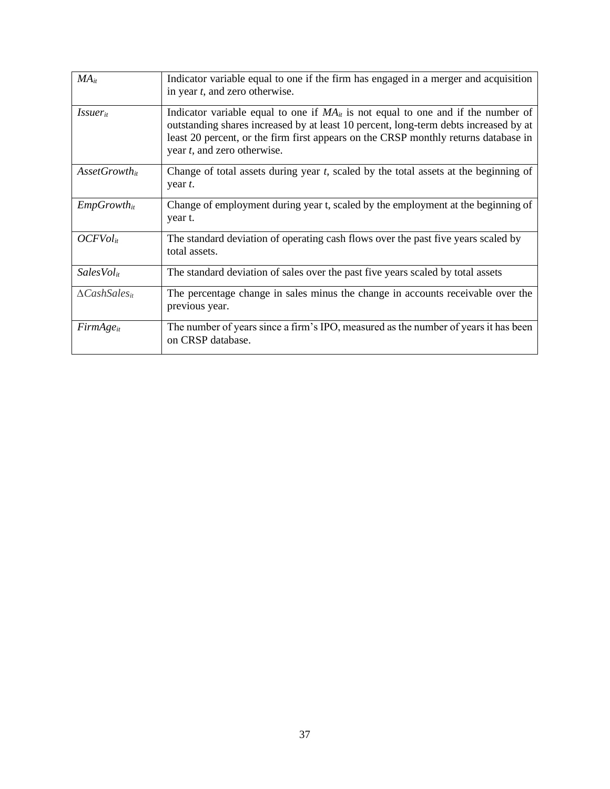| $MA_{it}$                   | Indicator variable equal to one if the firm has engaged in a merger and acquisition<br>in year $t$ , and zero otherwise.                                                                                                                                                                                    |
|-----------------------------|-------------------------------------------------------------------------------------------------------------------------------------------------------------------------------------------------------------------------------------------------------------------------------------------------------------|
| <i>Issuer</i> <sub>it</sub> | Indicator variable equal to one if $MA_{it}$ is not equal to one and if the number of<br>outstanding shares increased by at least 10 percent, long-term debts increased by at<br>least 20 percent, or the firm first appears on the CRSP monthly returns database in<br>year <i>t</i> , and zero otherwise. |
| $\textit{AssetGrowth}_{it}$ | Change of total assets during year t, scaled by the total assets at the beginning of<br>year t.                                                                                                                                                                                                             |
| $EmpGrowth_{it}$            | Change of employment during year t, scaled by the employment at the beginning of<br>year t.                                                                                                                                                                                                                 |
| $OCFVol_{it}$               | The standard deviation of operating cash flows over the past five years scaled by<br>total assets.                                                                                                                                                                                                          |
| SalesVol <sub>it</sub>      | The standard deviation of sales over the past five years scaled by total assets                                                                                                                                                                                                                             |
| $\Delta Cash Sales_{it}$    | The percentage change in sales minus the change in accounts receivable over the<br>previous year.                                                                                                                                                                                                           |
| $FirmAge_{it}$              | The number of years since a firm's IPO, measured as the number of years it has been<br>on CRSP database.                                                                                                                                                                                                    |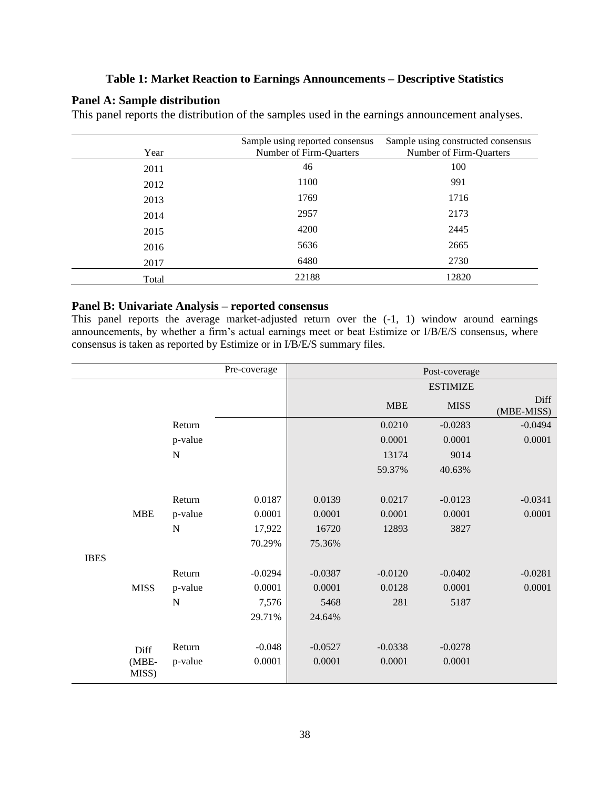# **Table 1: Market Reaction to Earnings Announcements – Descriptive Statistics**

# **Panel A: Sample distribution**

This panel reports the distribution of the samples used in the earnings announcement analyses.

| Year  | Sample using reported consensus<br>Number of Firm-Quarters | Sample using constructed consensus<br>Number of Firm-Quarters |
|-------|------------------------------------------------------------|---------------------------------------------------------------|
| 2011  | 46                                                         | 100                                                           |
| 2012  | 1100                                                       | 991                                                           |
| 2013  | 1769                                                       | 1716                                                          |
| 2014  | 2957                                                       | 2173                                                          |
| 2015  | 4200                                                       | 2445                                                          |
| 2016  | 5636                                                       | 2665                                                          |
| 2017  | 6480                                                       | 2730                                                          |
| Total | 22188                                                      | 12820                                                         |

# **Panel B: Univariate Analysis – reported consensus**

This panel reports the average market-adjusted return over the  $(-1, 1)$  window around earnings announcements, by whether a firm's actual earnings meet or beat Estimize or I/B/E/S consensus, where consensus is taken as reported by Estimize or in I/B/E/S summary files.

|             |                  |             | Pre-coverage |           |            | Post-coverage   |                    |
|-------------|------------------|-------------|--------------|-----------|------------|-----------------|--------------------|
|             |                  |             |              |           |            | <b>ESTIMIZE</b> |                    |
|             |                  |             |              |           | <b>MBE</b> | <b>MISS</b>     | Diff<br>(MBE-MISS) |
|             |                  | Return      |              |           | 0.0210     | $-0.0283$       | $-0.0494$          |
|             |                  | p-value     |              |           | 0.0001     | 0.0001          | 0.0001             |
|             |                  | ${\bf N}$   |              |           | 13174      | 9014            |                    |
|             |                  |             |              |           | 59.37%     | 40.63%          |                    |
|             |                  |             |              |           |            |                 |                    |
|             |                  | Return      | 0.0187       | 0.0139    | 0.0217     | $-0.0123$       | $-0.0341$          |
|             | <b>MBE</b>       | p-value     | 0.0001       | 0.0001    | 0.0001     | 0.0001          | 0.0001             |
|             |                  | $\mathbf N$ | 17,922       | 16720     | 12893      | 3827            |                    |
|             |                  |             | 70.29%       | 75.36%    |            |                 |                    |
| <b>IBES</b> |                  |             |              |           |            |                 |                    |
|             |                  | Return      | $-0.0294$    | $-0.0387$ | $-0.0120$  | $-0.0402$       | $-0.0281$          |
|             | <b>MISS</b>      | p-value     | 0.0001       | 0.0001    | 0.0128     | 0.0001          | 0.0001             |
|             |                  | ${\bf N}$   | 7,576        | 5468      | 281        | 5187            |                    |
|             |                  |             | 29.71%       | 24.64%    |            |                 |                    |
|             |                  |             |              |           |            |                 |                    |
|             | Diff             | Return      | $-0.048$     | $-0.0527$ | $-0.0338$  | $-0.0278$       |                    |
|             | $(MBE-$<br>MISS) | p-value     | 0.0001       | 0.0001    | 0.0001     | 0.0001          |                    |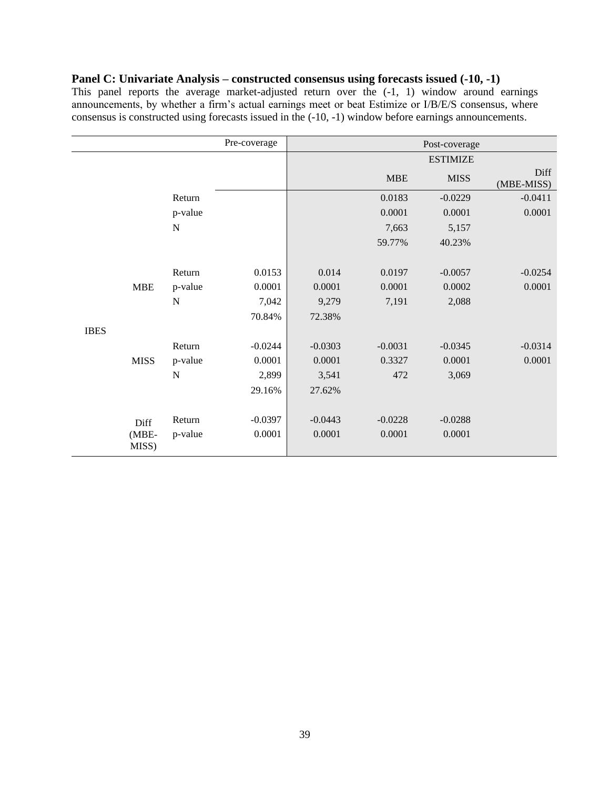# **Panel C: Univariate Analysis – constructed consensus using forecasts issued (-10, -1)**

This panel reports the average market-adjusted return over the  $(-1, 1)$  window around earnings announcements, by whether a firm's actual earnings meet or beat Estimize or I/B/E/S consensus, where consensus is constructed using forecasts issued in the (-10, -1) window before earnings announcements.

|             |                |             | Pre-coverage |           |            | Post-coverage   |                    |
|-------------|----------------|-------------|--------------|-----------|------------|-----------------|--------------------|
|             |                |             |              |           |            | <b>ESTIMIZE</b> |                    |
|             |                |             |              |           | <b>MBE</b> | <b>MISS</b>     | Diff<br>(MBE-MISS) |
|             |                | Return      |              |           | 0.0183     | $-0.0229$       | $-0.0411$          |
|             |                | p-value     |              |           | 0.0001     | 0.0001          | 0.0001             |
|             |                | ${\bf N}$   |              |           | 7,663      | 5,157           |                    |
|             |                |             |              |           | 59.77%     | 40.23%          |                    |
|             |                |             |              |           |            |                 |                    |
|             |                | Return      | 0.0153       | 0.014     | 0.0197     | $-0.0057$       | $-0.0254$          |
|             | <b>MBE</b>     | p-value     | 0.0001       | 0.0001    | 0.0001     | 0.0002          | 0.0001             |
|             |                | ${\bf N}$   | 7,042        | 9,279     | 7,191      | 2,088           |                    |
|             |                |             | 70.84%       | 72.38%    |            |                 |                    |
| <b>IBES</b> |                |             |              |           |            |                 |                    |
|             |                | Return      | $-0.0244$    | $-0.0303$ | $-0.0031$  | $-0.0345$       | $-0.0314$          |
|             | <b>MISS</b>    | p-value     | 0.0001       | 0.0001    | 0.3327     | 0.0001          | 0.0001             |
|             |                | $\mathbf N$ | 2,899        | 3,541     | 472        | 3,069           |                    |
|             |                |             | 29.16%       | 27.62%    |            |                 |                    |
|             |                |             |              |           |            |                 |                    |
|             | Diff           | Return      | $-0.0397$    | $-0.0443$ | $-0.0228$  | $-0.0288$       |                    |
|             | (MBE-<br>MISS) | p-value     | 0.0001       | 0.0001    | 0.0001     | 0.0001          |                    |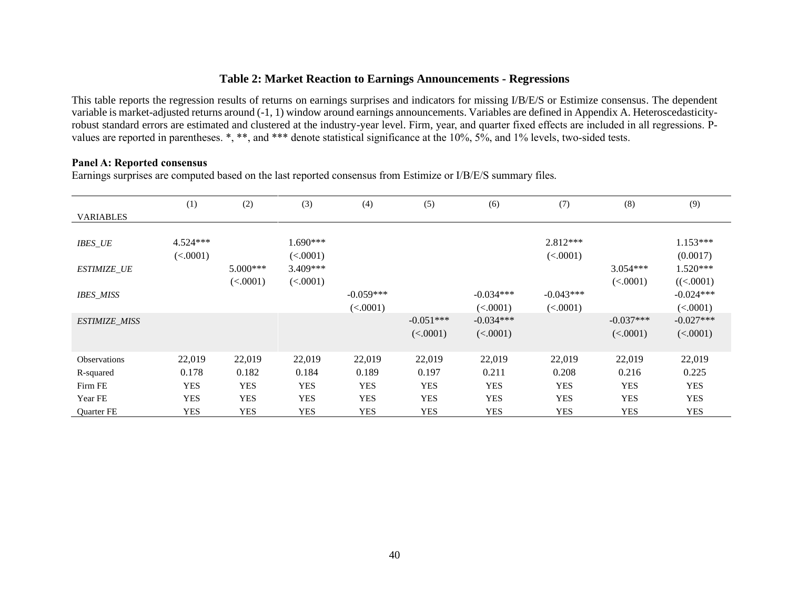# **Table 2: Market Reaction to Earnings Announcements - Regressions**

This table reports the regression results of returns on earnings surprises and indicators for missing I/B/E/S or Estimize consensus. The dependent variable is market-adjusted returns around (-1, 1) window around earnings announcements. Variables are defined in Appendix A. Heteroscedasticityrobust standard errors are estimated and clustered at the industry-year level. Firm, year, and quarter fixed effects are included in all regressions. Pvalues are reported in parentheses. \*, \*\*, and \*\*\* denote statistical significance at the 10%, 5%, and 1% levels, two-sided tests.

### **Panel A: Reported consensus**

Earnings surprises are computed based on the last reported consensus from Estimize or I/B/E/S summary files.

|                      | (1)        | (2)        | (3)        | (4)         | (5)         | (6)         | (7)         | (8)         | (9)         |
|----------------------|------------|------------|------------|-------------|-------------|-------------|-------------|-------------|-------------|
| <b>VARIABLES</b>     |            |            |            |             |             |             |             |             |             |
|                      |            |            |            |             |             |             |             |             |             |
| <b>IBES_UE</b>       | $4.524***$ |            | $1.690***$ |             |             |             | $2.812***$  |             | $1.153***$  |
|                      | (<.0001)   |            | (<.0001)   |             |             |             | (<.0001)    |             | (0.0017)    |
| <b>ESTIMIZE_UE</b>   |            | $5.000***$ | $3.409***$ |             |             |             |             | $3.054***$  | $1.520***$  |
|                      |            | (<.0001)   | (<.0001)   |             |             |             |             | (<.0001)    | ((<.0001)   |
| <b>IBES_MISS</b>     |            |            |            | $-0.059***$ |             | $-0.034***$ | $-0.043***$ |             | $-0.024***$ |
|                      |            |            |            | (<.0001)    |             | (<.0001)    | (<.0001)    |             | (<.0001)    |
| <b>ESTIMIZE_MISS</b> |            |            |            |             | $-0.051***$ | $-0.034***$ |             | $-0.037***$ | $-0.027***$ |
|                      |            |            |            |             | (<.0001)    | (<.0001)    |             | (<.0001)    | (<.0001)    |
|                      |            |            |            |             |             |             |             |             |             |
| <b>Observations</b>  | 22,019     | 22,019     | 22,019     | 22,019      | 22,019      | 22,019      | 22,019      | 22,019      | 22,019      |
| R-squared            | 0.178      | 0.182      | 0.184      | 0.189       | 0.197       | 0.211       | 0.208       | 0.216       | 0.225       |
| Firm FE              | <b>YES</b> | <b>YES</b> | <b>YES</b> | <b>YES</b>  | <b>YES</b>  | <b>YES</b>  | <b>YES</b>  | <b>YES</b>  | <b>YES</b>  |
| Year FE              | <b>YES</b> | <b>YES</b> | <b>YES</b> | <b>YES</b>  | <b>YES</b>  | <b>YES</b>  | <b>YES</b>  | <b>YES</b>  | <b>YES</b>  |
| Quarter FE           | <b>YES</b> | <b>YES</b> | <b>YES</b> | <b>YES</b>  | YES         | <b>YES</b>  | <b>YES</b>  | <b>YES</b>  | <b>YES</b>  |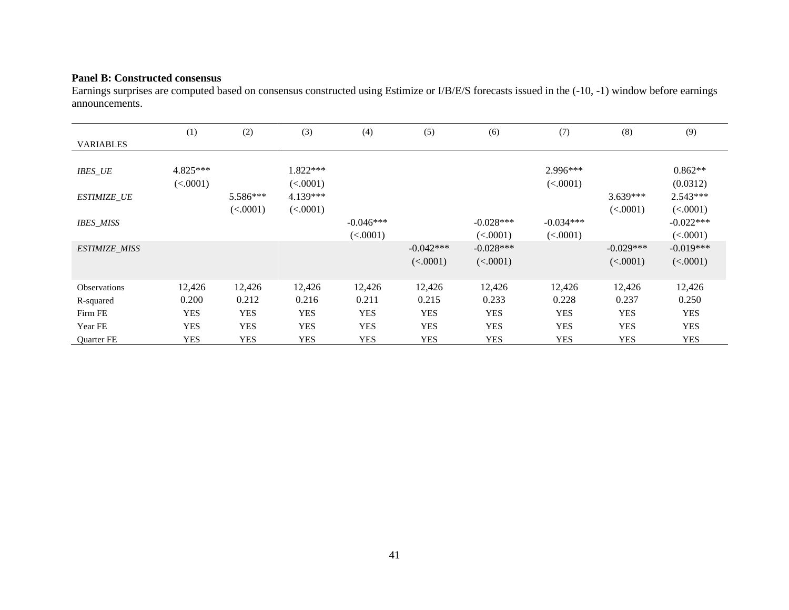# **Panel B: Constructed consensus**

Earnings surprises are computed based on consensus constructed using Estimize or I/B/E/S forecasts issued in the (-10, -1) window before earnings announcements.

|                      | (1)                  | (2)        | (3)                    | (4)         | (5)         | (6)         | (7)                  | (8)         | (9)                   |
|----------------------|----------------------|------------|------------------------|-------------|-------------|-------------|----------------------|-------------|-----------------------|
| <b>VARIABLES</b>     |                      |            |                        |             |             |             |                      |             |                       |
| <b>IBES_UE</b>       | 4.825***<br>(<.0001) |            | $1.822***$<br>(<.0001) |             |             |             | 2.996***<br>(<.0001) |             | $0.862**$<br>(0.0312) |
| <b>ESTIMIZE UE</b>   |                      | 5.586***   | 4.139***               |             |             |             |                      | $3.639***$  | $2.543***$            |
|                      |                      | (<.0001)   | (<.0001)               |             |             |             |                      | (<.0001)    | (<.0001)              |
| <b>IBES_MISS</b>     |                      |            |                        | $-0.046***$ |             | $-0.028***$ | $-0.034***$          |             | $-0.022***$           |
|                      |                      |            |                        | (<.0001)    |             | (<.0001)    | (<.0001)             |             | (<.0001)              |
| <b>ESTIMIZE_MISS</b> |                      |            |                        |             | $-0.042***$ | $-0.028***$ |                      | $-0.029***$ | $-0.019***$           |
|                      |                      |            |                        |             | (<.0001)    | (<.0001)    |                      | (<.0001)    | (<.0001)              |
|                      |                      |            |                        |             |             |             |                      |             |                       |
| <b>Observations</b>  | 12,426               | 12,426     | 12,426                 | 12,426      | 12,426      | 12,426      | 12,426               | 12,426      | 12,426                |
| R-squared            | 0.200                | 0.212      | 0.216                  | 0.211       | 0.215       | 0.233       | 0.228                | 0.237       | 0.250                 |
| Firm FE              | <b>YES</b>           | <b>YES</b> | <b>YES</b>             | <b>YES</b>  | <b>YES</b>  | <b>YES</b>  | <b>YES</b>           | <b>YES</b>  | <b>YES</b>            |
| Year FE              | <b>YES</b>           | <b>YES</b> | <b>YES</b>             | <b>YES</b>  | <b>YES</b>  | <b>YES</b>  | <b>YES</b>           | <b>YES</b>  | <b>YES</b>            |
| Quarter FE           | <b>YES</b>           | <b>YES</b> | <b>YES</b>             | <b>YES</b>  | <b>YES</b>  | <b>YES</b>  | <b>YES</b>           | <b>YES</b>  | <b>YES</b>            |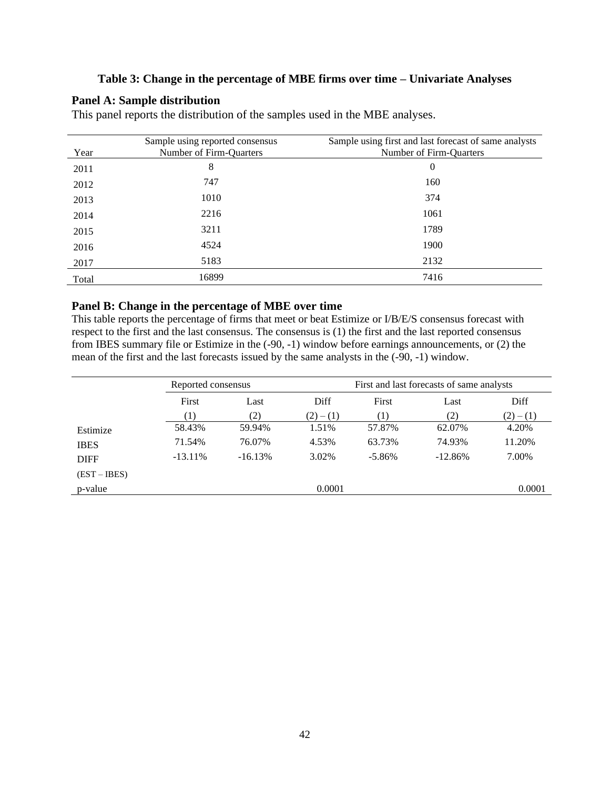# **Table 3: Change in the percentage of MBE firms over time – Univariate Analyses**

# **Panel A: Sample distribution**

This panel reports the distribution of the samples used in the MBE analyses.

| Year  | Sample using reported consensus<br>Number of Firm-Quarters | Sample using first and last forecast of same analysts<br>Number of Firm-Quarters |
|-------|------------------------------------------------------------|----------------------------------------------------------------------------------|
| 2011  | 8                                                          | 0                                                                                |
| 2012  | 747                                                        | 160                                                                              |
| 2013  | 1010                                                       | 374                                                                              |
| 2014  | 2216                                                       | 1061                                                                             |
| 2015  | 3211                                                       | 1789                                                                             |
| 2016  | 4524                                                       | 1900                                                                             |
| 2017  | 5183                                                       | 2132                                                                             |
| Total | 16899                                                      | 7416                                                                             |

### **Panel B: Change in the percentage of MBE over time**

This table reports the percentage of firms that meet or beat Estimize or I/B/E/S consensus forecast with respect to the first and the last consensus. The consensus is (1) the first and the last reported consensus from IBES summary file or Estimize in the (-90, -1) window before earnings announcements, or (2) the mean of the first and the last forecasts issued by the same analysts in the (-90, -1) window.

|                | Reported consensus |           |           | First and last forecasts of same analysts |           |           |  |
|----------------|--------------------|-----------|-----------|-------------------------------------------|-----------|-----------|--|
|                | First              | Last      |           | First                                     | Last      | Diff      |  |
|                | (1)                | (2)       | $(2)-(1)$ | (1)                                       | (2)       | $(2)-(1)$ |  |
| Estimize       | 58.43%             | 59.94%    | 1.51%     | 57.87%                                    | 62.07%    | 4.20%     |  |
| <b>IBES</b>    | 71.54%             | 76.07%    | 4.53%     | 63.73%                                    | 74.93%    | 11.20%    |  |
| <b>DIFF</b>    | $-13.11\%$         | $-16.13%$ | 3.02%     | $-5.86%$                                  | $-12.86%$ | 7.00%     |  |
| $(EST - IBES)$ |                    |           |           |                                           |           |           |  |
| p-value        |                    |           | 0.0001    |                                           |           | 0.0001    |  |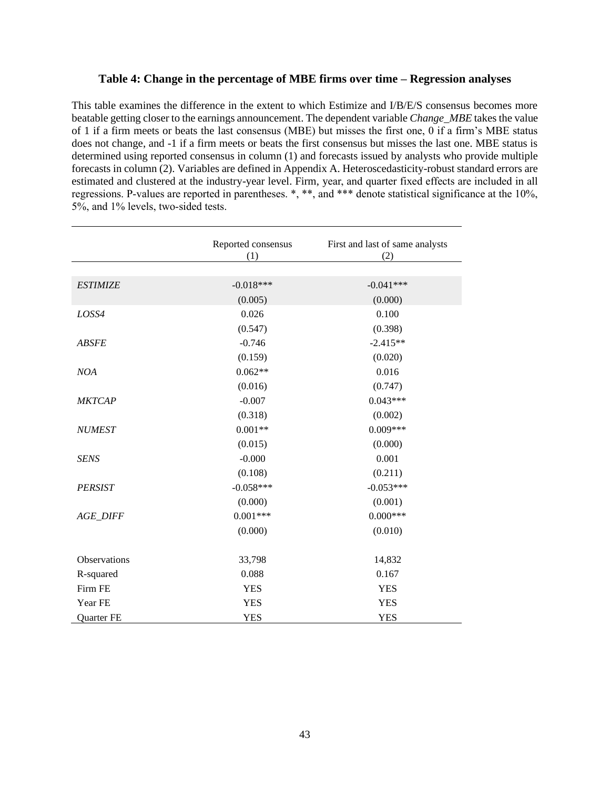### **Table 4: Change in the percentage of MBE firms over time – Regression analyses**

This table examines the difference in the extent to which Estimize and I/B/E/S consensus becomes more beatable getting closer to the earnings announcement. The dependent variable *Change\_MBE* takes the value of 1 if a firm meets or beats the last consensus (MBE) but misses the first one, 0 if a firm's MBE status does not change, and -1 if a firm meets or beats the first consensus but misses the last one. MBE status is determined using reported consensus in column (1) and forecasts issued by analysts who provide multiple forecasts in column (2). Variables are defined in Appendix A. Heteroscedasticity-robust standard errors are estimated and clustered at the industry-year level. Firm, year, and quarter fixed effects are included in all regressions. P-values are reported in parentheses. \*, \*\*, and \*\*\* denote statistical significance at the 10%, 5%, and 1% levels, two-sided tests.

|                 | Reported consensus<br>(1) | First and last of same analysts<br>(2) |
|-----------------|---------------------------|----------------------------------------|
|                 |                           |                                        |
| <b>ESTIMIZE</b> | $-0.018***$               | $-0.041***$                            |
|                 | (0.005)                   | (0.000)                                |
| LOSS4           | 0.026                     | 0.100                                  |
|                 | (0.547)                   | (0.398)                                |
| <b>ABSFE</b>    | $-0.746$                  | $-2.415**$                             |
|                 | (0.159)                   | (0.020)                                |
| <b>NOA</b>      | $0.062**$                 | 0.016                                  |
|                 | (0.016)                   | (0.747)                                |
| <b>MKTCAP</b>   | $-0.007$                  | $0.043***$                             |
|                 | (0.318)                   | (0.002)                                |
| <b>NUMEST</b>   | $0.001**$                 | $0.009***$                             |
|                 | (0.015)                   | (0.000)                                |
| <b>SENS</b>     | $-0.000$                  | 0.001                                  |
|                 | (0.108)                   | (0.211)                                |
| <b>PERSIST</b>  | $-0.058***$               | $-0.053***$                            |
|                 | (0.000)                   | (0.001)                                |
| <b>AGE_DIFF</b> | $0.001***$                | $0.000***$                             |
|                 | (0.000)                   | (0.010)                                |
| Observations    | 33,798                    | 14,832                                 |
| R-squared       | 0.088                     | 0.167                                  |
| Firm FE         | <b>YES</b>                | <b>YES</b>                             |
| Year FE         | <b>YES</b>                | <b>YES</b>                             |
| Quarter FE      | <b>YES</b>                | <b>YES</b>                             |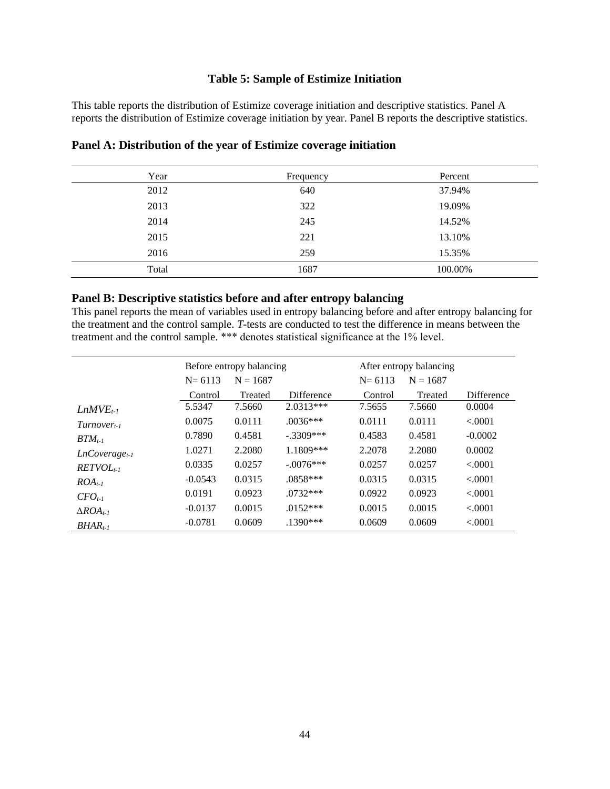# **Table 5: Sample of Estimize Initiation**

This table reports the distribution of Estimize coverage initiation and descriptive statistics. Panel A reports the distribution of Estimize coverage initiation by year. Panel B reports the descriptive statistics.

| Year  | Frequency | Percent |
|-------|-----------|---------|
| 2012  | 640       | 37.94%  |
| 2013  | 322       | 19.09%  |
| 2014  | 245       | 14.52%  |
| 2015  | 221       | 13.10%  |
| 2016  | 259       | 15.35%  |
| Total | 1687      | 100.00% |

# **Panel A: Distribution of the year of Estimize coverage initiation**

# **Panel B: Descriptive statistics before and after entropy balancing**

This panel reports the mean of variables used in entropy balancing before and after entropy balancing for the treatment and the control sample. *T-*tests are conducted to test the difference in means between the treatment and the control sample. \*\*\* denotes statistical significance at the 1% level.

|                       |            | Before entropy balancing |             |            | After entropy balancing |            |
|-----------------------|------------|--------------------------|-------------|------------|-------------------------|------------|
|                       | $N = 6113$ | $N = 1687$               |             | $N = 6113$ | $N = 1687$              |            |
|                       | Control    | Treated                  | Difference  | Control    | Treated                 | Difference |
| $LnMVEt-1$            | 5.5347     | 7.5660                   | $2.0313***$ | 7.5655     | 7.5660                  | 0.0004     |
| $Turnover_{t-1}$      | 0.0075     | 0.0111                   | $.0036***$  | 0.0111     | 0.0111                  | < 0.001    |
| $BTM_{t-1}$           | 0.7890     | 0.4581                   | $-.3309***$ | 0.4583     | 0.4581                  | $-0.0002$  |
| $LnCoverage_{t-1}$    | 1.0271     | 2.2080                   | $1.1809***$ | 2.2078     | 2.2080                  | 0.0002     |
| $RETVOLt-1$           | 0.0335     | 0.0257                   | $-.0076***$ | 0.0257     | 0.0257                  | < 0.001    |
| $ROA_{t-1}$           | $-0.0543$  | 0.0315                   | $.0858***$  | 0.0315     | 0.0315                  | < 0.001    |
| $CFO_{t-1}$           | 0.0191     | 0.0923                   | $.0732***$  | 0.0922     | 0.0923                  | < 0.001    |
| $\triangle ROA_{t-1}$ | $-0.0137$  | 0.0015                   | $.0152***$  | 0.0015     | 0.0015                  | < 0.001    |
| $BHAR_{t-1}$          | $-0.0781$  | 0.0609                   | $.1390***$  | 0.0609     | 0.0609                  | < .0001    |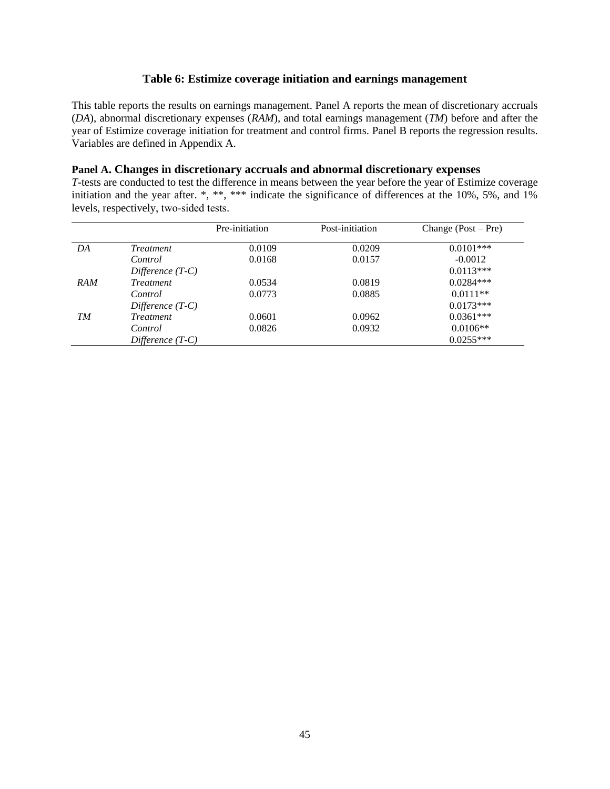# **Table 6: Estimize coverage initiation and earnings management**

This table reports the results on earnings management. Panel A reports the mean of discretionary accruals (*DA*), abnormal discretionary expenses (*RAM*), and total earnings management (*TM*) before and after the year of Estimize coverage initiation for treatment and control firms. Panel B reports the regression results. Variables are defined in Appendix A.

# **Panel A. Changes in discretionary accruals and abnormal discretionary expenses**

*T-*tests are conducted to test the difference in means between the year before the year of Estimize coverage initiation and the year after. \*, \*\*, \*\*\* indicate the significance of differences at the 10%, 5%, and 1% levels, respectively, two-sided tests.

|            |                    | Pre-initiation | Post-initiation | Change $(Post - Pre)$ |
|------------|--------------------|----------------|-----------------|-----------------------|
| DA         | <i>Treatment</i>   | 0.0109         | 0.0209          | $0.0101***$           |
|            | Control            | 0.0168         | 0.0157          | $-0.0012$             |
|            | Difference $(T-C)$ |                |                 | $0.0113***$           |
| <b>RAM</b> | <i>Treatment</i>   | 0.0534         | 0.0819          | $0.0284***$           |
|            | Control            | 0.0773         | 0.0885          | $0.0111**$            |
|            | Difference $(T-C)$ |                |                 | $0.0173***$           |
| TM         | <i>Treatment</i>   | 0.0601         | 0.0962          | $0.0361***$           |
|            | Control            | 0.0826         | 0.0932          | $0.0106**$            |
|            | Difference $(T-C)$ |                |                 | $0.0255***$           |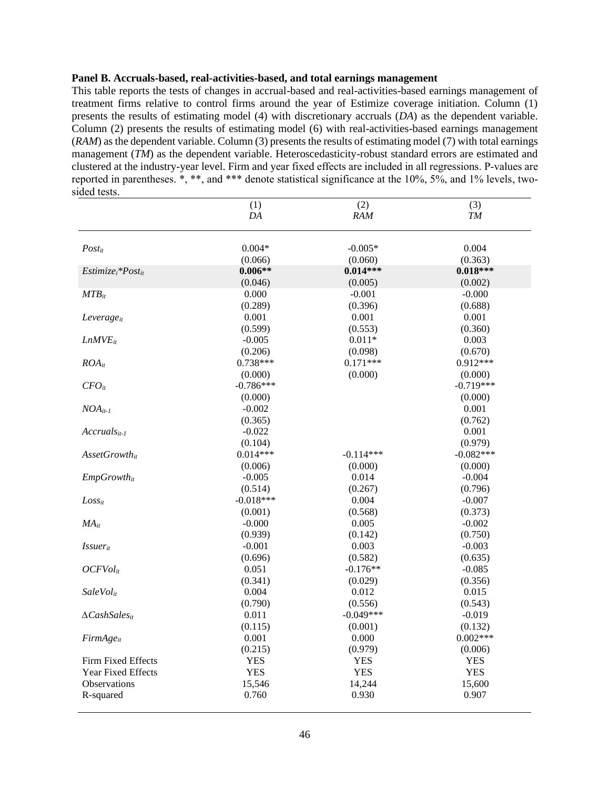### **Panel B. Accruals-based, real-activities-based, and total earnings management**

This table reports the tests of changes in accrual-based and real-activities-based earnings management of treatment firms relative to control firms around the year of Estimize coverage initiation. Column (1) presents the results of estimating model (4) with discretionary accruals (*DA*) as the dependent variable. Column (2) presents the results of estimating model (6) with real-activities-based earnings management (*RAM*) as the dependent variable. Column (3) presents the results of estimating model (7) with total earnings management (*TM*) as the dependent variable. Heteroscedasticity-robust standard errors are estimated and clustered at the industry-year level. Firm and year fixed effects are included in all regressions. P-values are reported in parentheses. \*, \*\*, and \*\*\* denote statistical significance at the 10%, 5%, and 1% levels, twosided tests.

|                             | (1)         | (2)         | (3)           |
|-----------------------------|-------------|-------------|---------------|
|                             | DA          | RAM         | ${\cal T\!M}$ |
|                             |             |             |               |
| Postit                      | $0.004*$    | $-0.005*$   | 0.004         |
|                             | (0.066)     | (0.060)     | (0.363)       |
| $Estimize_i * Post_{it}$    | $0.006**$   | $0.014***$  | $0.018***$    |
|                             | (0.046)     | (0.005)     | (0.002)       |
| $MTB_{it}$                  | 0.000       | $-0.001$    | $-0.000$      |
|                             | (0.289)     | (0.396)     | (0.688)       |
| Leverage <sub>it</sub>      | 0.001       | 0.001       | 0.001         |
|                             | (0.599)     | (0.553)     | (0.360)       |
| $LnMVE_{it}$                | $-0.005$    | $0.011*$    | 0.003         |
|                             | (0.206)     | (0.098)     | (0.670)       |
| $ROA_{it}$                  | $0.738***$  | $0.171***$  | $0.912***$    |
|                             | (0.000)     | (0.000)     | (0.000)       |
| $CFO_{it}$                  | $-0.786***$ |             | $-0.719***$   |
|                             | (0.000)     |             | (0.000)       |
| $NOA_{it-1}$                | $-0.002$    |             | 0.001         |
|                             | (0.365)     |             | (0.762)       |
| $Accruals_{it-1}$           | $-0.022$    |             | 0.001         |
|                             | (0.104)     |             | (0.979)       |
| AssetGrowthit               | $0.014***$  | $-0.114***$ | $-0.082***$   |
|                             | (0.006)     | (0.000)     | (0.000)       |
| $EmpGrowth_{it}$            | $-0.005$    | 0.014       | $-0.004$      |
|                             | (0.514)     | (0.267)     | (0.796)       |
| $Loss_{it}$                 | $-0.018***$ | 0.004       | $-0.007$      |
|                             | (0.001)     | (0.568)     | (0.373)       |
| $MA_{it}$                   | $-0.000$    | 0.005       | $-0.002$      |
|                             | (0.939)     | (0.142)     | (0.750)       |
| <i>Issuer</i> <sub>it</sub> | $-0.001$    | 0.003       | $-0.003$      |
|                             | (0.696)     | (0.582)     | (0.635)       |
| $OCFVol_{it}$               | 0.051       | $-0.176**$  | $-0.085$      |
|                             | (0.341)     | (0.029)     | (0.356)       |
| <b>SaleVol</b> it           | 0.004       | 0.012       | 0.015         |
|                             | (0.790)     | (0.556)     | (0.543)       |
| $\Delta Cash Sales_{it}$    | 0.011       | $-0.049***$ | $-0.019$      |
|                             | (0.115)     | (0.001)     | (0.132)       |
| $FirmAge_{it}$              | 0.001       | 0.000       | $0.002***$    |
|                             | (0.215)     | (0.979)     | (0.006)       |
| Firm Fixed Effects          | <b>YES</b>  | <b>YES</b>  | <b>YES</b>    |
| Year Fixed Effects          | <b>YES</b>  | <b>YES</b>  | <b>YES</b>    |
| Observations                | 15,546      | 14,244      | 15,600        |
| R-squared                   | 0.760       | 0.930       | 0.907         |
|                             |             |             |               |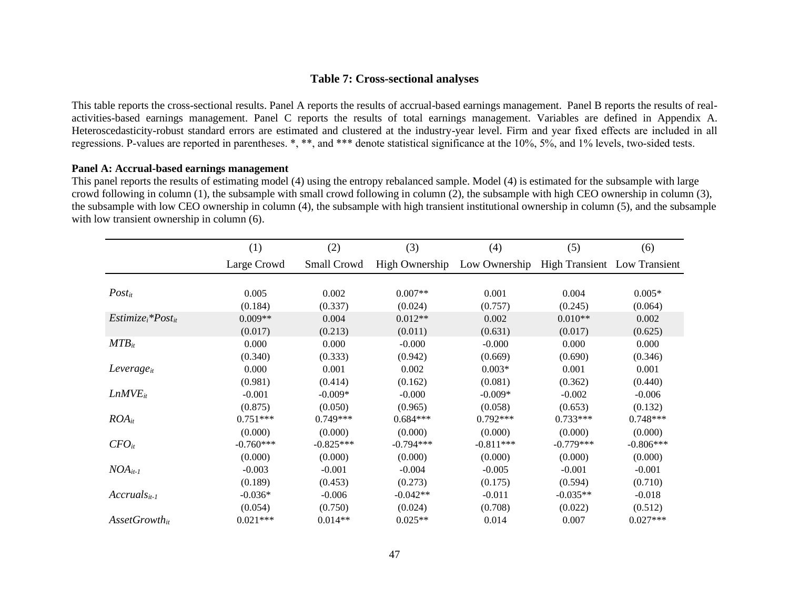# **Table 7: Cross-sectional analyses**

This table reports the cross-sectional results. Panel A reports the results of accrual-based earnings management. Panel B reports the results of realactivities-based earnings management. Panel C reports the results of total earnings management. Variables are defined in Appendix A. Heteroscedasticity-robust standard errors are estimated and clustered at the industry-year level. Firm and year fixed effects are included in all regressions. P-values are reported in parentheses. \*, \*\*, and \*\*\* denote statistical significance at the 10%, 5%, and 1% levels, two-sided tests.

# **Panel A: Accrual-based earnings management**

This panel reports the results of estimating model (4) using the entropy rebalanced sample. Model (4) is estimated for the subsample with large crowd following in column (1), the subsample with small crowd following in column (2), the subsample with high CEO ownership in column (3), the subsample with low CEO ownership in column (4), the subsample with high transient institutional ownership in column (5), and the subsample with low transient ownership in column  $(6)$ .

|                             | (1)         | (2)         | (3)            | (4)           | (5)                          | (6)         |
|-----------------------------|-------------|-------------|----------------|---------------|------------------------------|-------------|
|                             | Large Crowd | Small Crowd | High Ownership | Low Ownership | High Transient Low Transient |             |
|                             |             |             |                |               |                              |             |
| $Post_{it}$                 | 0.005       | 0.002       | $0.007**$      | 0.001         | 0.004                        | $0.005*$    |
|                             | (0.184)     | (0.337)     | (0.024)        | (0.757)       | (0.245)                      | (0.064)     |
| $Estimize_i * Post_{it}$    | $0.009**$   | 0.004       | $0.012**$      | 0.002         | $0.010**$                    | 0.002       |
|                             | (0.017)     | (0.213)     | (0.011)        | (0.631)       | (0.017)                      | (0.625)     |
| $MTB_{it}$                  | 0.000       | 0.000       | $-0.000$       | $-0.000$      | 0.000                        | 0.000       |
|                             | (0.340)     | (0.333)     | (0.942)        | (0.669)       | (0.690)                      | (0.346)     |
| $Leverage_{it}$             | 0.000       | 0.001       | 0.002          | $0.003*$      | 0.001                        | 0.001       |
|                             | (0.981)     | (0.414)     | (0.162)        | (0.081)       | (0.362)                      | (0.440)     |
| LnMVE <sub>it</sub>         | $-0.001$    | $-0.009*$   | $-0.000$       | $-0.009*$     | $-0.002$                     | $-0.006$    |
|                             | (0.875)     | (0.050)     | (0.965)        | (0.058)       | (0.653)                      | (0.132)     |
| $ROA_{it}$                  | $0.751***$  | $0.749***$  | $0.684***$     | $0.792***$    | $0.733***$                   | $0.748***$  |
|                             | (0.000)     | (0.000)     | (0.000)        | (0.000)       | (0.000)                      | (0.000)     |
| $CFO_{it}$                  | $-0.760***$ | $-0.825***$ | $-0.794***$    | $-0.811***$   | $-0.779***$                  | $-0.806***$ |
|                             | (0.000)     | (0.000)     | (0.000)        | (0.000)       | (0.000)                      | (0.000)     |
| $NOA_{it-1}$                | $-0.003$    | $-0.001$    | $-0.004$       | $-0.005$      | $-0.001$                     | $-0.001$    |
|                             | (0.189)     | (0.453)     | (0.273)        | (0.175)       | (0.594)                      | (0.710)     |
| $Accruals_{it-1}$           | $-0.036*$   | $-0.006$    | $-0.042**$     | $-0.011$      | $-0.035**$                   | $-0.018$    |
|                             | (0.054)     | (0.750)     | (0.024)        | (0.708)       | (0.022)                      | (0.512)     |
| $\textit{AssetGrowth}_{it}$ | $0.021***$  | $0.014**$   | $0.025**$      | 0.014         | 0.007                        | $0.027***$  |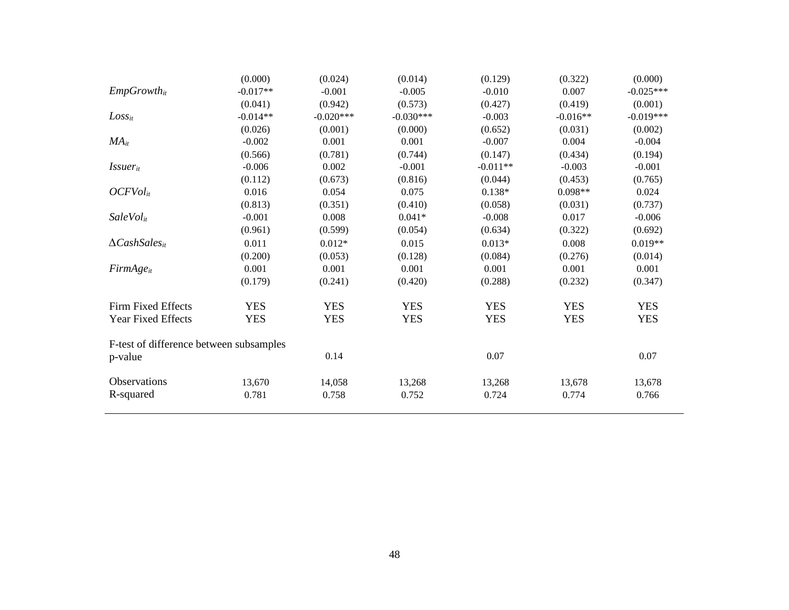|                                         | (0.000)    | (0.024)     | (0.014)     | (0.129)    | (0.322)    | (0.000)     |
|-----------------------------------------|------------|-------------|-------------|------------|------------|-------------|
| $EmpGrowth_{it}$                        | $-0.017**$ | $-0.001$    | $-0.005$    | $-0.010$   | 0.007      | $-0.025***$ |
|                                         | (0.041)    | (0.942)     | (0.573)     | (0.427)    | (0.419)    | (0.001)     |
| $Loss_{it}$                             | $-0.014**$ | $-0.020***$ | $-0.030***$ | $-0.003$   | $-0.016**$ | $-0.019***$ |
|                                         | (0.026)    | (0.001)     | (0.000)     | (0.652)    | (0.031)    | (0.002)     |
| $MA_{it}$                               | $-0.002$   | 0.001       | 0.001       | $-0.007$   | 0.004      | $-0.004$    |
|                                         | (0.566)    | (0.781)     | (0.744)     | (0.147)    | (0.434)    | (0.194)     |
| $Issuer_{it}$                           | $-0.006$   | 0.002       | $-0.001$    | $-0.011**$ | $-0.003$   | $-0.001$    |
|                                         | (0.112)    | (0.673)     | (0.816)     | (0.044)    | (0.453)    | (0.765)     |
| OCFVol <sub>it</sub>                    | 0.016      | 0.054       | 0.075       | $0.138*$   | $0.098**$  | 0.024       |
|                                         | (0.813)    | (0.351)     | (0.410)     | (0.058)    | (0.031)    | (0.737)     |
| SaleVol <sub>it</sub>                   | $-0.001$   | 0.008       | $0.041*$    | $-0.008$   | 0.017      | $-0.006$    |
|                                         | (0.961)    | (0.599)     | (0.054)     | (0.634)    | (0.322)    | (0.692)     |
| $\Delta$ CashSales <sub>it</sub>        | 0.011      | $0.012*$    | 0.015       | $0.013*$   | 0.008      | $0.019**$   |
|                                         | (0.200)    | (0.053)     | (0.128)     | (0.084)    | (0.276)    | (0.014)     |
| $FirmAge_{it}$                          | 0.001      | 0.001       | 0.001       | 0.001      | 0.001      | 0.001       |
|                                         | (0.179)    | (0.241)     | (0.420)     | (0.288)    | (0.232)    | (0.347)     |
| Firm Fixed Effects                      | <b>YES</b> | <b>YES</b>  | <b>YES</b>  | <b>YES</b> | <b>YES</b> | <b>YES</b>  |
| Year Fixed Effects                      | <b>YES</b> | <b>YES</b>  | <b>YES</b>  | <b>YES</b> | <b>YES</b> | <b>YES</b>  |
| F-test of difference between subsamples |            |             |             |            |            |             |
| p-value                                 |            | 0.14        |             | 0.07       |            | 0.07        |
| Observations                            | 13,670     | 14,058      | 13,268      | 13,268     | 13,678     | 13,678      |
| R-squared                               | 0.781      | 0.758       | 0.752       | 0.724      | 0.774      | 0.766       |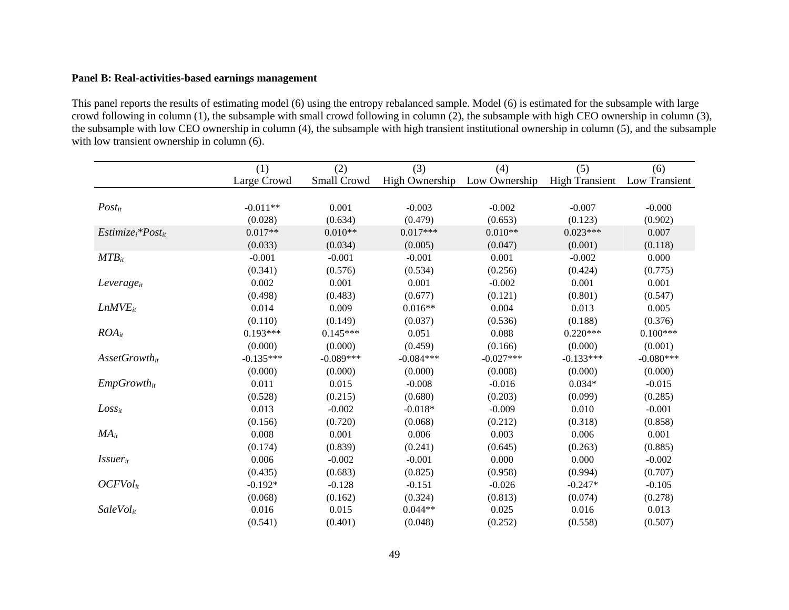# **Panel B: Real-activities-based earnings management**

This panel reports the results of estimating model (6) using the entropy rebalanced sample. Model (6) is estimated for the subsample with large crowd following in column (1), the subsample with small crowd following in column  $(2)$ , the subsample with high CEO ownership in column (3), the subsample with low CEO ownership in column (4), the subsample with high transient institutional ownership in column (5), and the subsample with low transient ownership in column (6).

|                             | (1)         | (2)         | (3)                   | (4)           | (5)                   | (6)           |
|-----------------------------|-------------|-------------|-----------------------|---------------|-----------------------|---------------|
|                             | Large Crowd | Small Crowd | <b>High Ownership</b> | Low Ownership | <b>High Transient</b> | Low Transient |
|                             |             |             |                       |               |                       |               |
| $Post_{it}$                 | $-0.011**$  | 0.001       | $-0.003$              | $-0.002$      | $-0.007$              | $-0.000$      |
|                             | (0.028)     | (0.634)     | (0.479)               | (0.653)       | (0.123)               | (0.902)       |
| $Estimize_i * Post_{it}$    | $0.017**$   | $0.010**$   | $0.017***$            | $0.010**$     | $0.023***$            | 0.007         |
|                             | (0.033)     | (0.034)     | (0.005)               | (0.047)       | (0.001)               | (0.118)       |
| $MTB_{it}$                  | $-0.001$    | $-0.001$    | $-0.001$              | 0.001         | $-0.002$              | 0.000         |
|                             | (0.341)     | (0.576)     | (0.534)               | (0.256)       | (0.424)               | (0.775)       |
| $Leverage_{it}$             | 0.002       | 0.001       | 0.001                 | $-0.002$      | 0.001                 | 0.001         |
|                             | (0.498)     | (0.483)     | (0.677)               | (0.121)       | (0.801)               | (0.547)       |
| $LnMVE_{it}$                | 0.014       | 0.009       | $0.016**$             | 0.004         | 0.013                 | 0.005         |
|                             | (0.110)     | (0.149)     | (0.037)               | (0.536)       | (0.188)               | (0.376)       |
| $ROA_{it}$                  | $0.193***$  | $0.145***$  | 0.051                 | 0.088         | $0.220***$            | $0.100***$    |
|                             | (0.000)     | (0.000)     | (0.459)               | (0.166)       | (0.000)               | (0.001)       |
| $\textit{AssetGrowth}_{it}$ | $-0.135***$ | $-0.089***$ | $-0.084***$           | $-0.027***$   | $-0.133***$           | $-0.080***$   |
|                             | (0.000)     | (0.000)     | (0.000)               | (0.008)       | (0.000)               | (0.000)       |
| $EmpGrowth_{it}$            | 0.011       | 0.015       | $-0.008$              | $-0.016$      | $0.034*$              | $-0.015$      |
|                             | (0.528)     | (0.215)     | (0.680)               | (0.203)       | (0.099)               | (0.285)       |
| $Loss_{it}$                 | 0.013       | $-0.002$    | $-0.018*$             | $-0.009$      | 0.010                 | $-0.001$      |
|                             | (0.156)     | (0.720)     | (0.068)               | (0.212)       | (0.318)               | (0.858)       |
| $MA_{it}$                   | 0.008       | 0.001       | 0.006                 | 0.003         | 0.006                 | 0.001         |
|                             | (0.174)     | (0.839)     | (0.241)               | (0.645)       | (0.263)               | (0.885)       |
| <i>Issuer</i> <sub>it</sub> | 0.006       | $-0.002$    | $-0.001$              | 0.000         | 0.000                 | $-0.002$      |
|                             | (0.435)     | (0.683)     | (0.825)               | (0.958)       | (0.994)               | (0.707)       |
| OCFVol <sub>it</sub>        | $-0.192*$   | $-0.128$    | $-0.151$              | $-0.026$      | $-0.247*$             | $-0.105$      |
|                             | (0.068)     | (0.162)     | (0.324)               | (0.813)       | (0.074)               | (0.278)       |
| SaleVol <sub>it</sub>       | 0.016       | 0.015       | $0.044**$             | 0.025         | 0.016                 | 0.013         |
|                             | (0.541)     | (0.401)     | (0.048)               | (0.252)       | (0.558)               | (0.507)       |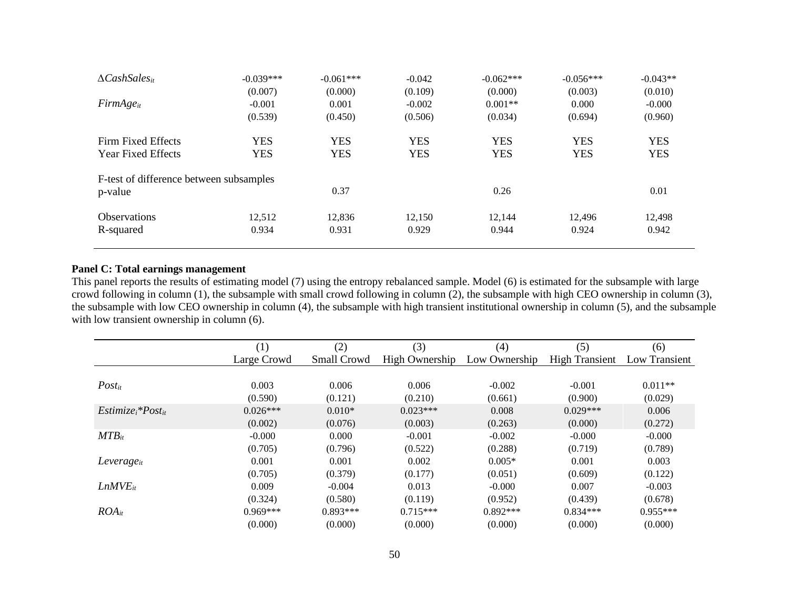| $\Delta$ CashSales <sub>it</sub>        | $-0.039***$ | $-0.061***$ | $-0.042$   | $-0.062***$ | $-0.056***$ | $-0.043**$ |
|-----------------------------------------|-------------|-------------|------------|-------------|-------------|------------|
|                                         | (0.007)     | (0.000)     | (0.109)    | (0.000)     | (0.003)     | (0.010)    |
| $FirmAge_{it}$                          | $-0.001$    | 0.001       | $-0.002$   | $0.001**$   | 0.000       | $-0.000$   |
|                                         | (0.539)     | (0.450)     | (0.506)    | (0.034)     | (0.694)     | (0.960)    |
| Firm Fixed Effects                      | <b>YES</b>  | <b>YES</b>  | <b>YES</b> | <b>YES</b>  | <b>YES</b>  | <b>YES</b> |
| <b>Year Fixed Effects</b>               | <b>YES</b>  | <b>YES</b>  | <b>YES</b> | <b>YES</b>  | <b>YES</b>  | <b>YES</b> |
| F-test of difference between subsamples |             |             |            |             |             |            |
| p-value                                 |             | 0.37        |            | 0.26        |             | 0.01       |
| <b>Observations</b>                     | 12.512      | 12.836      | 12.150     | 12.144      | 12.496      | 12.498     |
| R-squared                               | 0.934       | 0.931       | 0.929      | 0.944       | 0.924       | 0.942      |
|                                         |             |             |            |             |             |            |

# **Panel C: Total earnings management**

This panel reports the results of estimating model (7) using the entropy rebalanced sample. Model (6) is estimated for the subsample with large crowd following in column (1), the subsample with small crowd following in column (2), the subsample with high CEO ownership in column (3), the subsample with low CEO ownership in column (4), the subsample with high transient institutional ownership in column (5), and the subsample with low transient ownership in column (6).

|                          | (1)         | (2)         | (3)            | (4)           | (5)                   | (6)           |
|--------------------------|-------------|-------------|----------------|---------------|-----------------------|---------------|
|                          | Large Crowd | Small Crowd | High Ownership | Low Ownership | <b>High Transient</b> | Low Transient |
|                          |             |             |                |               |                       |               |
| $Post_{it}$              | 0.003       | 0.006       | 0.006          | $-0.002$      | $-0.001$              | $0.011**$     |
|                          | (0.590)     | (0.121)     | (0.210)        | (0.661)       | (0.900)               | (0.029)       |
| $Estimize_i * Post_{it}$ | $0.026***$  | $0.010*$    | $0.023***$     | 0.008         | $0.029***$            | 0.006         |
|                          | (0.002)     | (0.076)     | (0.003)        | (0.263)       | (0.000)               | (0.272)       |
| $MTB_{it}$               | $-0.000$    | 0.000       | $-0.001$       | $-0.002$      | $-0.000$              | $-0.000$      |
|                          | (0.705)     | (0.796)     | (0.522)        | (0.288)       | (0.719)               | (0.789)       |
| $Leverage_{it}$          | 0.001       | 0.001       | 0.002          | $0.005*$      | 0.001                 | 0.003         |
|                          | (0.705)     | (0.379)     | (0.177)        | (0.051)       | (0.609)               | (0.122)       |
| $LnMVE_{it}$             | 0.009       | $-0.004$    | 0.013          | $-0.000$      | 0.007                 | $-0.003$      |
|                          | (0.324)     | (0.580)     | (0.119)        | (0.952)       | (0.439)               | (0.678)       |
| $ROA_{it}$               | $0.969***$  | $0.893***$  | $0.715***$     | $0.892***$    | $0.834***$            | $0.955***$    |
|                          | (0.000)     | (0.000)     | (0.000)        | (0.000)       | (0.000)               | (0.000)       |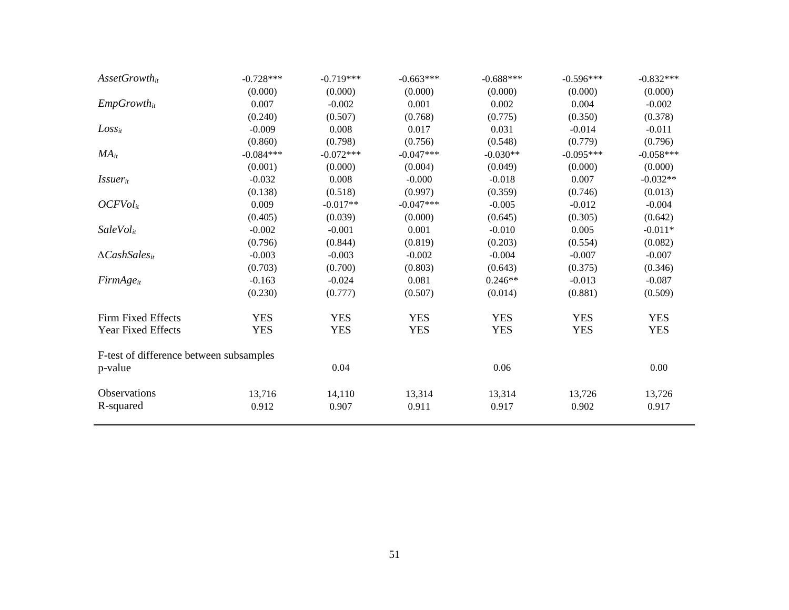| $\textit{AssetGrowth}_{it}$             | $-0.728***$ | $-0.719***$ | $-0.663***$ | $-0.688***$ | $-0.596***$ | $-0.832***$ |
|-----------------------------------------|-------------|-------------|-------------|-------------|-------------|-------------|
|                                         | (0.000)     | (0.000)     | (0.000)     | (0.000)     | (0.000)     | (0.000)     |
| $EmpGrowth_{it}$                        | 0.007       | $-0.002$    | 0.001       | 0.002       | 0.004       | $-0.002$    |
|                                         | (0.240)     | (0.507)     | (0.768)     | (0.775)     | (0.350)     | (0.378)     |
| $Loss_{it}$                             | $-0.009$    | 0.008       | 0.017       | 0.031       | $-0.014$    | $-0.011$    |
|                                         | (0.860)     | (0.798)     | (0.756)     | (0.548)     | (0.779)     | (0.796)     |
| $MA_{it}$                               | $-0.084***$ | $-0.072***$ | $-0.047***$ | $-0.030**$  | $-0.095***$ | $-0.058***$ |
|                                         | (0.001)     | (0.000)     | (0.004)     | (0.049)     | (0.000)     | (0.000)     |
| <i>Issuer</i> <sub>it</sub>             | $-0.032$    | 0.008       | $-0.000$    | $-0.018$    | 0.007       | $-0.032**$  |
|                                         | (0.138)     | (0.518)     | (0.997)     | (0.359)     | (0.746)     | (0.013)     |
| OCFVol <sub>it</sub>                    | 0.009       | $-0.017**$  | $-0.047***$ | $-0.005$    | $-0.012$    | $-0.004$    |
|                                         | (0.405)     | (0.039)     | (0.000)     | (0.645)     | (0.305)     | (0.642)     |
| SaleVol <sub>it</sub>                   | $-0.002$    | $-0.001$    | 0.001       | $-0.010$    | 0.005       | $-0.011*$   |
|                                         | (0.796)     | (0.844)     | (0.819)     | (0.203)     | (0.554)     | (0.082)     |
| $\Delta Cash Sales_{it}$                | $-0.003$    | $-0.003$    | $-0.002$    | $-0.004$    | $-0.007$    | $-0.007$    |
|                                         | (0.703)     | (0.700)     | (0.803)     | (0.643)     | (0.375)     | (0.346)     |
| $FirmAge_{it}$                          | $-0.163$    | $-0.024$    | 0.081       | $0.246**$   | $-0.013$    | $-0.087$    |
|                                         | (0.230)     | (0.777)     | (0.507)     | (0.014)     | (0.881)     | (0.509)     |
| Firm Fixed Effects                      | <b>YES</b>  | <b>YES</b>  | <b>YES</b>  | <b>YES</b>  | <b>YES</b>  | <b>YES</b>  |
| <b>Year Fixed Effects</b>               | <b>YES</b>  | <b>YES</b>  | <b>YES</b>  | <b>YES</b>  | <b>YES</b>  | <b>YES</b>  |
| F-test of difference between subsamples |             |             |             |             |             |             |
| p-value                                 |             | 0.04        |             | 0.06        |             | 0.00        |
| Observations                            | 13,716      | 14,110      | 13,314      | 13,314      | 13,726      | 13,726      |
| R-squared                               | 0.912       | 0.907       | 0.911       | 0.917       | 0.902       | 0.917       |
|                                         |             |             |             |             |             |             |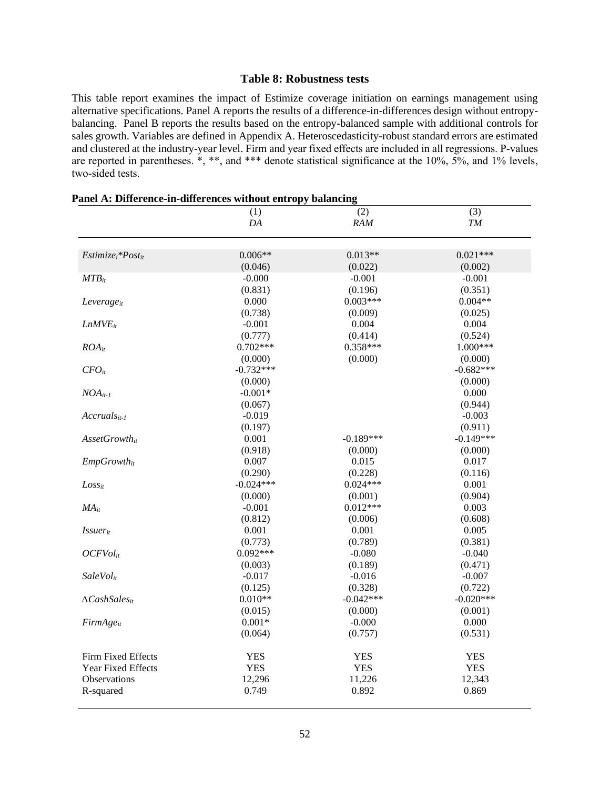### **Table 8: Robustness tests**

This table report examines the impact of Estimize coverage initiation on earnings management using alternative specifications. Panel A reports the results of a difference-in-differences design without entropybalancing. Panel B reports the results based on the entropy-balanced sample with additional controls for sales growth. Variables are defined in Appendix A. Heteroscedasticity-robust standard errors are estimated and clustered at the industry-year level. Firm and year fixed effects are included in all regressions. P-values are reported in parentheses. \*, \*\*, and \*\*\* denote statistical significance at the 10%,  $5\%$ , and 1% levels, two-sided tests.

|                             | (1)         | (2)         | (3)         |
|-----------------------------|-------------|-------------|-------------|
|                             | DA          | <b>RAM</b>  | TM          |
|                             |             |             |             |
|                             |             |             |             |
| $Estimize_i * Post_{it}$    | $0.006**$   | $0.013**$   | $0.021***$  |
|                             | (0.046)     | (0.022)     | (0.002)     |
| $MTB_{it}$                  | $-0.000$    | $-0.001$    | $-0.001$    |
|                             | (0.831)     | (0.196)     | (0.351)     |
| Leverage <sub>it</sub>      | 0.000       | $0.003***$  | $0.004**$   |
|                             | (0.738)     | (0.009)     | (0.025)     |
| $LnMVE$ <sub>it</sub>       | $-0.001$    | 0.004       | 0.004       |
|                             | (0.777)     | (0.414)     | (0.524)     |
| $ROA_{it}$                  | $0.702***$  | $0.358***$  | $1.000***$  |
|                             | (0.000)     | (0.000)     | (0.000)     |
| $CFO_{it}$                  | $-0.732***$ |             | $-0.682***$ |
|                             | (0.000)     |             | (0.000)     |
| $NOA_{it-1}$                | $-0.001*$   |             | 0.000       |
|                             | (0.067)     |             | (0.944)     |
| $Accruals_{it-1}$           | $-0.019$    |             | $-0.003$    |
|                             | (0.197)     |             | (0.911)     |
| $\textit{AssetGrowth}_{it}$ | 0.001       | $-0.189***$ | $-0.149***$ |
|                             | (0.918)     | (0.000)     | (0.000)     |
| $EmpGrowth_{it}$            | 0.007       | 0.015       | 0.017       |
|                             | (0.290)     | (0.228)     | (0.116)     |
| $Loss_{it}$                 | $-0.024***$ | $0.024***$  | 0.001       |
|                             | (0.000)     | (0.001)     | (0.904)     |
| $MA_{it}$                   | $-0.001$    | $0.012***$  | 0.003       |
|                             | (0.812)     | (0.006)     | (0.608)     |
| <i>Issuer</i> <sub>it</sub> | 0.001       | 0.001       | 0.005       |
|                             | (0.773)     | (0.789)     | (0.381)     |
| OCFVol <sub>it</sub>        | $0.092***$  | $-0.080$    | $-0.040$    |
|                             | (0.003)     | (0.189)     | (0.471)     |
| SaleVol <sub>it</sub>       | $-0.017$    | $-0.016$    | $-0.007$    |
|                             | (0.125)     | (0.328)     | (0.722)     |
| $\Delta Cash Sales_{it}$    | $0.010**$   | $-0.042***$ | $-0.020***$ |
|                             | (0.015)     | (0.000)     | (0.001)     |
| $FirmAge_{it}$              | $0.001*$    | $-0.000$    | 0.000       |
|                             | (0.064)     | (0.757)     | (0.531)     |
| Firm Fixed Effects          | <b>YES</b>  | <b>YES</b>  | <b>YES</b>  |
| Year Fixed Effects          | <b>YES</b>  | <b>YES</b>  | <b>YES</b>  |
| <b>Observations</b>         | 12,296      | 11,226      | 12,343      |
| R-squared                   | 0.749       | 0.892       | 0.869       |
|                             |             |             |             |

### **Panel A: Difference-in-differences without entropy balancing**